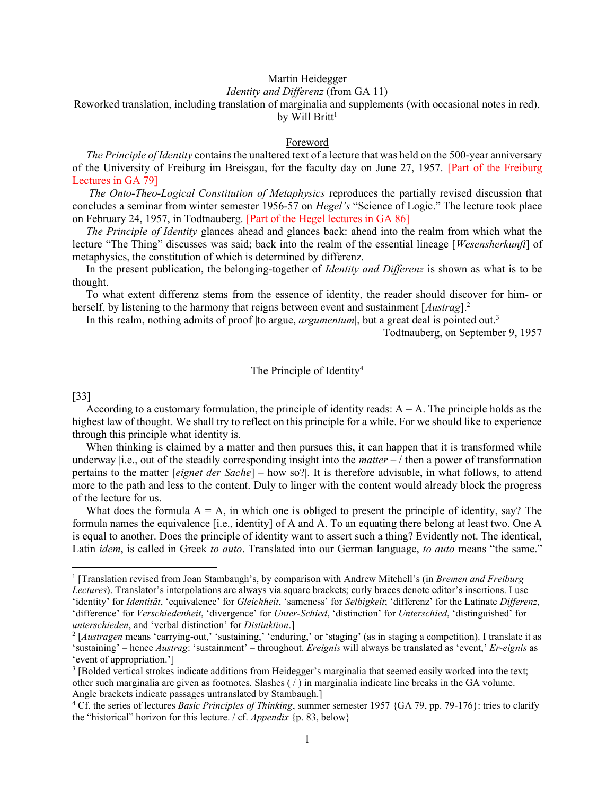# Martin Heidegger

# Identity and Differenz (from GA 11)

# Reworked translation, including translation of marginalia and supplements (with occasional notes in red),

by Will Britt<sup>1</sup>

#### Foreword

The Principle of Identity contains the unaltered text of a lecture that was held on the 500-year anniversary of the University of Freiburg im Breisgau, for the faculty day on June 27, 1957. [Part of the Freiburg Lectures in GA 79]

 The Onto-Theo-Logical Constitution of Metaphysics reproduces the partially revised discussion that concludes a seminar from winter semester 1956-57 on Hegel's "Science of Logic." The lecture took place on February 24, 1957, in Todtnauberg. [Part of the Hegel lectures in GA 86]

The Principle of Identity glances ahead and glances back: ahead into the realm from which what the lecture "The Thing" discusses was said; back into the realm of the essential lineage [Wesensherkunft] of metaphysics, the constitution of which is determined by differenz.

In the present publication, the belonging-together of *Identity and Differenz* is shown as what is to be thought.

 To what extent differenz stems from the essence of identity, the reader should discover for him- or herself, by listening to the harmony that reigns between event and sustainment  $[Austrag]$ <sup>2</sup>

In this realm, nothing admits of proof |to argue, *argumentum*|, but a great deal is pointed out.<sup>3</sup>

Todtnauberg, on September 9, 1957

# The Principle of Identity<sup>4</sup>

#### [33]

According to a customary formulation, the principle of identity reads:  $A = A$ . The principle holds as the highest law of thought. We shall try to reflect on this principle for a while. For we should like to experience through this principle what identity is.

 When thinking is claimed by a matter and then pursues this, it can happen that it is transformed while underway |i.e., out of the steadily corresponding insight into the *matter*  $-$  / then a power of transformation pertains to the matter [eignet der Sache] – how so?]. It is therefore advisable, in what follows, to attend more to the path and less to the content. Duly to linger with the content would already block the progress of the lecture for us.

What does the formula  $A = A$ , in which one is obliged to present the principle of identity, say? The formula names the equivalence [i.e., identity] of A and A. To an equating there belong at least two. One A is equal to another. Does the principle of identity want to assert such a thing? Evidently not. The identical, Latin *idem*, is called in Greek to *auto*. Translated into our German language, to *auto* means "the same."

<sup>&</sup>lt;sup>1</sup> [Translation revised from Joan Stambaugh's, by comparison with Andrew Mitchell's (in Bremen and Freiburg Lectures). Translator's interpolations are always via square brackets; curly braces denote editor's insertions. I use 'identity' for *Identität*, 'equivalence' for *Gleichheit*, 'sameness' for *Selbigkeit*; 'differenz' for the Latinate *Differenz*, 'difference' for Verschiedenheit, 'divergence' for Unter-Schied, 'distinction' for Unterschied, 'distinguished' for unterschieden, and 'verbal distinction' for Distinktion.]

 $^2$  [*Austragen* means 'carrying-out,' 'sustaining,' 'enduring,' or 'staging' (as in staging a competition). I translate it as 'sustaining' – hence Austrag: 'sustainment' – throughout. Ereignis will always be translated as 'event,' Er-eignis as 'event of appropriation.']

<sup>&</sup>lt;sup>3</sup> [Bolded vertical strokes indicate additions from Heidegger's marginalia that seemed easily worked into the text; other such marginalia are given as footnotes. Slashes ( / ) in marginalia indicate line breaks in the GA volume. Angle brackets indicate passages untranslated by Stambaugh.]

<sup>&</sup>lt;sup>4</sup> Cf. the series of lectures *Basic Principles of Thinking*, summer semester 1957 {GA 79, pp. 79-176}: tries to clarify the "historical" horizon for this lecture. / cf. Appendix {p. 83, below}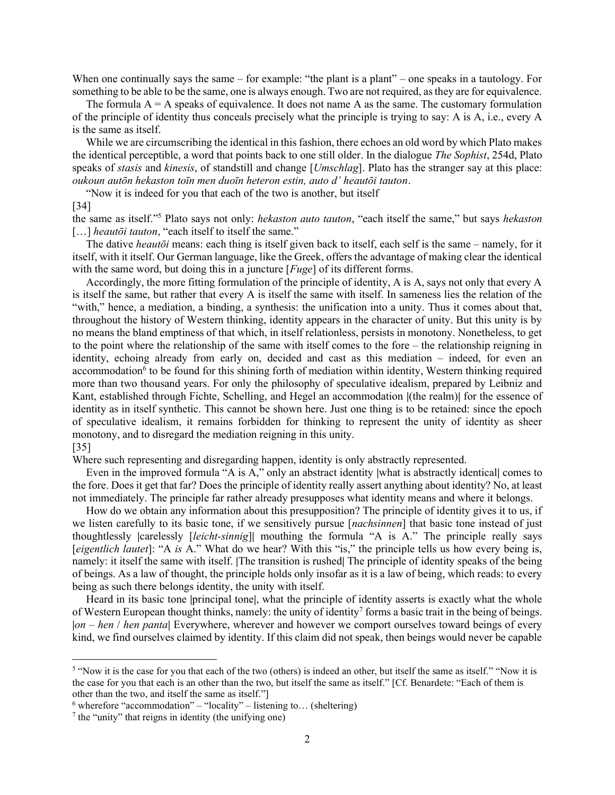When one continually says the same – for example: "the plant is a plant" – one speaks in a tautology. For something to be able to be the same, one is always enough. Two are not required, as they are for equivalence.

The formula  $A = A$  speaks of equivalence. It does not name A as the same. The customary formulation of the principle of identity thus conceals precisely what the principle is trying to say: A is A, i.e., every A is the same as itself.

 While we are circumscribing the identical in this fashion, there echoes an old word by which Plato makes the identical perceptible, a word that points back to one still older. In the dialogue The Sophist, 254d, Plato speaks of *stasis* and *kinesis*, of standstill and change [*Umschlag*]. Plato has the stranger say at this place: oukoun autōn hekaston toīn men duoīn heteron estin, auto d' heautōi tauton.

"Now it is indeed for you that each of the two is another, but itself

#### [34]

the same as itself."<sup>5</sup> Plato says not only: *hekaston auto tauton*, "each itself the same," but says *hekaston* [...] heauto i tauton, "each itself to itself the same."

The dative *heautōi* means: each thing is itself given back to itself, each self is the same – namely, for it itself, with it itself. Our German language, like the Greek, offers the advantage of making clear the identical with the same word, but doing this in a juncture [*Fuge*] of its different forms.

 Accordingly, the more fitting formulation of the principle of identity, A is A, says not only that every A is itself the same, but rather that every A is itself the same with itself. In sameness lies the relation of the "with," hence, a mediation, a binding, a synthesis: the unification into a unity. Thus it comes about that, throughout the history of Western thinking, identity appears in the character of unity. But this unity is by no means the bland emptiness of that which, in itself relationless, persists in monotony. Nonetheless, to get to the point where the relationship of the same with itself comes to the fore – the relationship reigning in identity, echoing already from early on, decided and cast as this mediation – indeed, for even an accommodation<sup>6</sup> to be found for this shining forth of mediation within identity, Western thinking required more than two thousand years. For only the philosophy of speculative idealism, prepared by Leibniz and Kant, established through Fichte, Schelling, and Hegel an accommodation |(the realm)| for the essence of identity as in itself synthetic. This cannot be shown here. Just one thing is to be retained: since the epoch of speculative idealism, it remains forbidden for thinking to represent the unity of identity as sheer monotony, and to disregard the mediation reigning in this unity.

#### [35]

Where such representing and disregarding happen, identity is only abstractly represented.

Even in the improved formula "A is A," only an abstract identity |what is abstractly identical| comes to the fore. Does it get that far? Does the principle of identity really assert anything about identity? No, at least not immediately. The principle far rather already presupposes what identity means and where it belongs.

 How do we obtain any information about this presupposition? The principle of identity gives it to us, if we listen carefully to its basic tone, if we sensitively pursue [*nachsinnen*] that basic tone instead of just thoughtlessly |carelessly [leicht-sinnig]| mouthing the formula "A is A." The principle really says [eigentlich lautet]: "A is A." What do we hear? With this "is," the principle tells us how every being is, namely: it itself the same with itself. |The transition is rushed| The principle of identity speaks of the being of beings. As a law of thought, the principle holds only insofar as it is a law of being, which reads: to every being as such there belongs identity, the unity with itself.

 Heard in its basic tone |principal tone|, what the principle of identity asserts is exactly what the whole of Western European thought thinks, namely: the unity of identity<sup>7</sup> forms a basic trait in the being of beings.  $|on - hen / hen$  panta Everywhere, wherever and however we comport ourselves toward beings of every kind, we find ourselves claimed by identity. If this claim did not speak, then beings would never be capable

<sup>&</sup>lt;sup>5</sup> "Now it is the case for you that each of the two (others) is indeed an other, but itself the same as itself." "Now it is the case for you that each is an other than the two, but itself the same as itself." [Cf. Benardete: "Each of them is other than the two, and itself the same as itself."]

 $6$  wherefore "accommodation" – "locality" – listening to... (sheltering)

<sup>&</sup>lt;sup>7</sup> the "unity" that reigns in identity (the unifying one)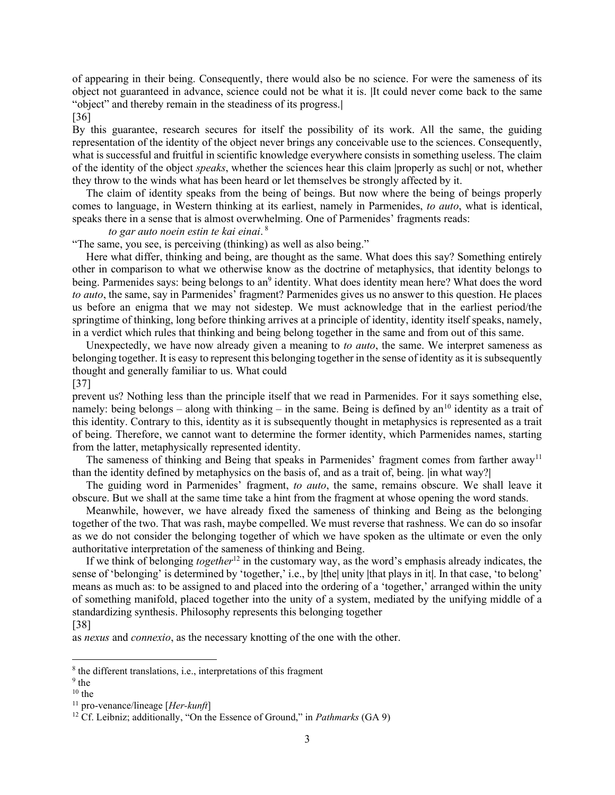of appearing in their being. Consequently, there would also be no science. For were the sameness of its object not guaranteed in advance, science could not be what it is. |It could never come back to the same "object" and thereby remain in the steadiness of its progress.|

### [36]

By this guarantee, research secures for itself the possibility of its work. All the same, the guiding representation of the identity of the object never brings any conceivable use to the sciences. Consequently, what is successful and fruitful in scientific knowledge everywhere consists in something useless. The claim of the identity of the object speaks, whether the sciences hear this claim |properly as such| or not, whether they throw to the winds what has been heard or let themselves be strongly affected by it.

 The claim of identity speaks from the being of beings. But now where the being of beings properly comes to language, in Western thinking at its earliest, namely in Parmenides, to auto, what is identical, speaks there in a sense that is almost overwhelming. One of Parmenides' fragments reads:

### to gar auto noein estin te kai einai. $^8$

"The same, you see, is perceiving (thinking) as well as also being."

 Here what differ, thinking and being, are thought as the same. What does this say? Something entirely other in comparison to what we otherwise know as the doctrine of metaphysics, that identity belongs to being. Parmenides says: being belongs to an<sup>9</sup> identity. What does identity mean here? What does the word to auto, the same, say in Parmenides' fragment? Parmenides gives us no answer to this question. He places us before an enigma that we may not sidestep. We must acknowledge that in the earliest period/the springtime of thinking, long before thinking arrives at a principle of identity, identity itself speaks, namely, in a verdict which rules that thinking and being belong together in the same and from out of this same.

Unexpectedly, we have now already given a meaning to *to auto*, the same. We interpret sameness as belonging together. It is easy to represent this belonging together in the sense of identity as it is subsequently thought and generally familiar to us. What could [37]

prevent us? Nothing less than the principle itself that we read in Parmenides. For it says something else, namely: being belongs – along with thinking – in the same. Being is defined by an<sup>10</sup> identity as a trait of this identity. Contrary to this, identity as it is subsequently thought in metaphysics is represented as a trait of being. Therefore, we cannot want to determine the former identity, which Parmenides names, starting from the latter, metaphysically represented identity.

The sameness of thinking and Being that speaks in Parmenides' fragment comes from farther away<sup>11</sup> than the identity defined by metaphysics on the basis of, and as a trait of, being. |in what way?|

The guiding word in Parmenides' fragment, to auto, the same, remains obscure. We shall leave it obscure. But we shall at the same time take a hint from the fragment at whose opening the word stands.

 Meanwhile, however, we have already fixed the sameness of thinking and Being as the belonging together of the two. That was rash, maybe compelled. We must reverse that rashness. We can do so insofar as we do not consider the belonging together of which we have spoken as the ultimate or even the only authoritative interpretation of the sameness of thinking and Being.

If we think of belonging together<sup>12</sup> in the customary way, as the word's emphasis already indicates, the sense of 'belonging' is determined by 'together,' i.e., by |the| unity |that plays in it|. In that case, 'to belong' means as much as: to be assigned to and placed into the ordering of a 'together,' arranged within the unity of something manifold, placed together into the unity of a system, mediated by the unifying middle of a standardizing synthesis. Philosophy represents this belonging together

### [38]

as nexus and connexio, as the necessary knotting of the one with the other.

<sup>&</sup>lt;sup>8</sup> the different translations, i.e., interpretations of this fragment

<sup>&</sup>lt;sup>9</sup> the

 $10$  the

 $11$  pro-venance/lineage [*Her-kunft*]

<sup>&</sup>lt;sup>12</sup> Cf. Leibniz; additionally, "On the Essence of Ground," in *Pathmarks* (GA 9)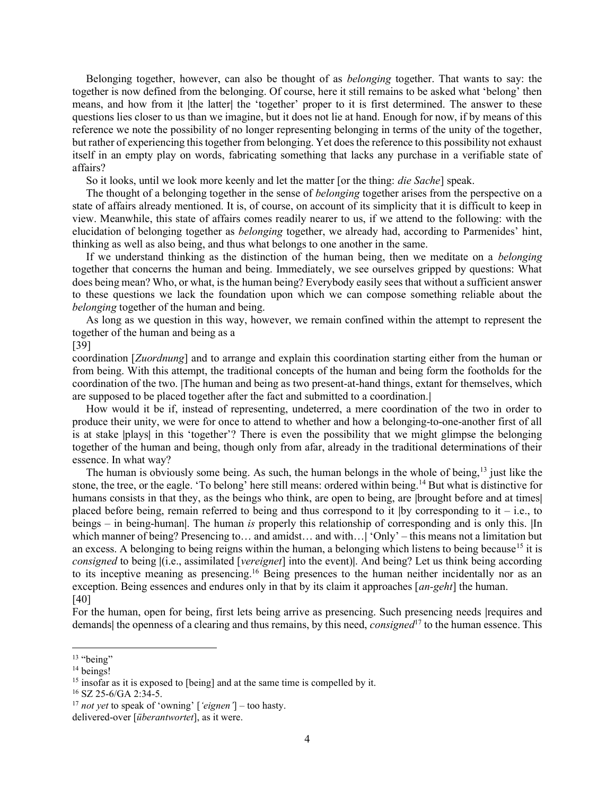Belonging together, however, can also be thought of as belonging together. That wants to say: the together is now defined from the belonging. Of course, here it still remains to be asked what 'belong' then means, and how from it |the latter| the 'together' proper to it is first determined. The answer to these questions lies closer to us than we imagine, but it does not lie at hand. Enough for now, if by means of this reference we note the possibility of no longer representing belonging in terms of the unity of the together, but rather of experiencing this together from belonging. Yet does the reference to this possibility not exhaust itself in an empty play on words, fabricating something that lacks any purchase in a verifiable state of affairs?

So it looks, until we look more keenly and let the matter [or the thing: *die Sache*] speak.

The thought of a belonging together in the sense of *belonging* together arises from the perspective on a state of affairs already mentioned. It is, of course, on account of its simplicity that it is difficult to keep in view. Meanwhile, this state of affairs comes readily nearer to us, if we attend to the following: with the elucidation of belonging together as belonging together, we already had, according to Parmenides' hint, thinking as well as also being, and thus what belongs to one another in the same.

If we understand thinking as the distinction of the human being, then we meditate on a *belonging* together that concerns the human and being. Immediately, we see ourselves gripped by questions: What does being mean? Who, or what, is the human being? Everybody easily sees that without a sufficient answer to these questions we lack the foundation upon which we can compose something reliable about the belonging together of the human and being.

 As long as we question in this way, however, we remain confined within the attempt to represent the together of the human and being as a

#### [39]

coordination [Zuordnung] and to arrange and explain this coordination starting either from the human or from being. With this attempt, the traditional concepts of the human and being form the footholds for the coordination of the two. |The human and being as two present-at-hand things, extant for themselves, which are supposed to be placed together after the fact and submitted to a coordination.|

 How would it be if, instead of representing, undeterred, a mere coordination of the two in order to produce their unity, we were for once to attend to whether and how a belonging-to-one-another first of all is at stake |plays| in this 'together'? There is even the possibility that we might glimpse the belonging together of the human and being, though only from afar, already in the traditional determinations of their essence. In what way?

The human is obviously some being. As such, the human belongs in the whole of being,<sup>13</sup> just like the stone, the tree, or the eagle. 'To belong' here still means: ordered within being.<sup>14</sup> But what is distinctive for humans consists in that they, as the beings who think, are open to being, are |brought before and at times| placed before being, remain referred to being and thus correspond to it  $|by$  corresponding to it – i.e., to beings – in being-human|. The human is properly this relationship of corresponding and is only this. |In which manner of being? Presencing to… and amidst… and with…| 'Only' – this means not a limitation but an excess. A belonging to being reigns within the human, a belonging which listens to being because<sup>15</sup> it is consigned to being  $|$  (i.e., assimilated [vereignet] into the event)]. And being? Let us think being according to its inceptive meaning as presencing.<sup>16</sup> Being presences to the human neither incidentally nor as an exception. Being essences and endures only in that by its claim it approaches  $(an-geht]$  the human. [40]

For the human, open for being, first lets being arrive as presencing. Such presencing needs |requires and demands| the openness of a clearing and thus remains, by this need, *consigned*<sup>17</sup> to the human essence. This

 $13$  "being"

<sup>&</sup>lt;sup>14</sup> beings!

 $15$  insofar as it is exposed to [being] and at the same time is compelled by it.

 $16$  SZ 25-6/GA 2:34-5.

 $17$  not yet to speak of 'owning' ['eignen'] – too hasty.

delivered-over [überantwortet], as it were.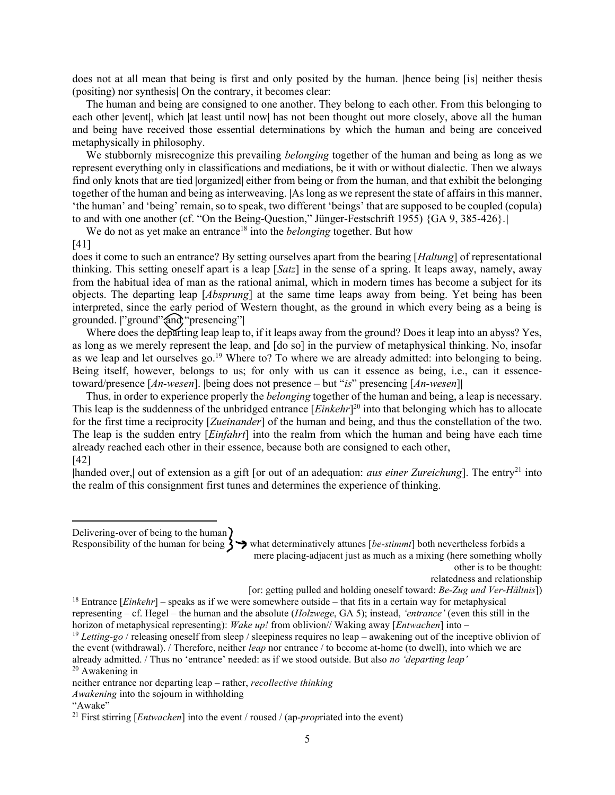does not at all mean that being is first and only posited by the human. |hence being [is] neither thesis (positing) nor synthesis| On the contrary, it becomes clear:

 The human and being are consigned to one another. They belong to each other. From this belonging to each other |event|, which |at least until now| has not been thought out more closely, above all the human and being have received those essential determinations by which the human and being are conceived metaphysically in philosophy.

We stubbornly misrecognize this prevailing *belonging* together of the human and being as long as we represent everything only in classifications and mediations, be it with or without dialectic. Then we always find only knots that are tied |organized| either from being or from the human, and that exhibit the belonging together of the human and being as interweaving. |As long as we represent the state of affairs in this manner, 'the human' and 'being' remain, so to speak, two different 'beings' that are supposed to be coupled (copula) to and with one another (cf. "On the Being-Question," Jünger-Festschrift 1955) {GA 9, 385-426}.|

We do not as yet make an entrance<sup>18</sup> into the *belonging* together. But how

#### [41]

does it come to such an entrance? By setting ourselves apart from the bearing [Haltung] of representational thinking. This setting oneself apart is a leap [Satz] in the sense of a spring. It leaps away, namely, away from the habitual idea of man as the rational animal, which in modern times has become a subject for its objects. The departing leap [Absprung] at the same time leaps away from being. Yet being has been interpreted, since the early period of Western thought, as the ground in which every being as a being is grounded. |"ground" and "presencing"|

 Where does the departing leap leap to, if it leaps away from the ground? Does it leap into an abyss? Yes, as long as we merely represent the leap, and [do so] in the purview of metaphysical thinking. No, insofar as we leap and let ourselves go.<sup>19</sup> Where to? To where we are already admitted: into belonging to being. Being itself, however, belongs to us; for only with us can it essence as being, i.e., can it essencetoward/presence  $[An-wesen]$ . |being does not presence – but "is" presencing  $[An-wesen]$ 

Thus, in order to experience properly the *belonging* together of the human and being, a leap is necessary. This leap is the suddenness of the unbridged entrance [*Einkehr*]<sup>20</sup> into that belonging which has to allocate for the first time a reciprocity [Zueinander] of the human and being, and thus the constellation of the two. The leap is the sudden entry [*Einfahrt*] into the realm from which the human and being have each time already reached each other in their essence, because both are consigned to each other, [42]

|handed over,| out of extension as a gift [or out of an adequation: *aus einer Zureichung*]. The entry<sup>21</sup> into the realm of this consignment first tunes and determines the experience of thinking.

Delivering-over of being to the human

Responsibility of the human for being  $\sum$  what determinatively attunes [be-stimmt] both nevertheless forbids a mere placing-adjacent just as much as a mixing (here something wholly

other is to be thought:

relatedness and relationship

[or: getting pulled and holding oneself toward: Be-Zug und Ver-Hältnis])

<sup>20</sup> Awakening in

<sup>&</sup>lt;sup>18</sup> Entrance [*Einkehr*] – speaks as if we were somewhere outside – that fits in a certain way for metaphysical representing – cf. Hegel – the human and the absolute ( $Holzwege$ , GA 5); instead, 'entrance' (even this still in the horizon of metaphysical representing): Wake up! from oblivion// Waking away [*Entwachen*] into – <sup>19</sup> Letting-go / releasing oneself from sleep / sleepiness requires no leap – awakening out of the inceptive oblivion of

the event (withdrawal). / Therefore, neither *leap* nor entrance / to become at-home (to dwell), into which we are already admitted. / Thus no 'entrance' needed: as if we stood outside. But also no 'departing leap'

neither entrance nor departing leap – rather, recollective thinking

Awakening into the sojourn in withholding

<sup>&</sup>quot;Awake"

<sup>&</sup>lt;sup>21</sup> First stirring [*Entwachen*] into the event / roused / (ap-*propriated into the event*)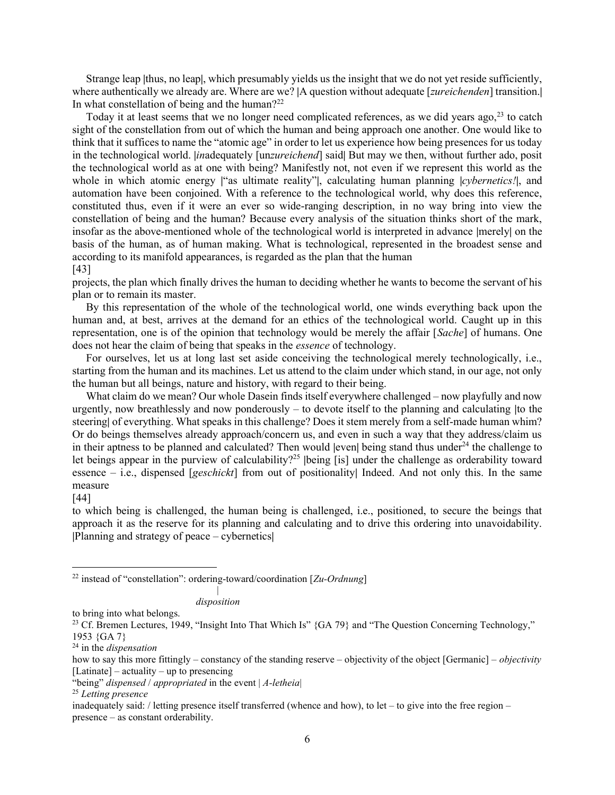Strange leap |thus, no leap|, which presumably yields us the insight that we do not yet reside sufficiently, where authentically we already are. Where are we? |A question without adequate [*zureichenden*] transition.| In what constellation of being and the human?<sup>22</sup>

Today it at least seems that we no longer need complicated references, as we did years ago,<sup>23</sup> to catch sight of the constellation from out of which the human and being approach one another. One would like to think that it suffices to name the "atomic age" in order to let us experience how being presences for us today in the technological world. *|inadequately [unzureichend]* said| But may we then, without further ado, posit the technological world as at one with being? Manifestly not, not even if we represent this world as the whole in which atomic energy |"as ultimate reality"|, calculating human planning |cybernetics!|, and automation have been conjoined. With a reference to the technological world, why does this reference, constituted thus, even if it were an ever so wide-ranging description, in no way bring into view the constellation of being and the human? Because every analysis of the situation thinks short of the mark, insofar as the above-mentioned whole of the technological world is interpreted in advance |merely| on the basis of the human, as of human making. What is technological, represented in the broadest sense and according to its manifold appearances, is regarded as the plan that the human [43]

projects, the plan which finally drives the human to deciding whether he wants to become the servant of his plan or to remain its master.

 By this representation of the whole of the technological world, one winds everything back upon the human and, at best, arrives at the demand for an ethics of the technological world. Caught up in this representation, one is of the opinion that technology would be merely the affair [Sache] of humans. One does not hear the claim of being that speaks in the essence of technology.

 For ourselves, let us at long last set aside conceiving the technological merely technologically, i.e., starting from the human and its machines. Let us attend to the claim under which stand, in our age, not only the human but all beings, nature and history, with regard to their being.

 What claim do we mean? Our whole Dasein finds itself everywhere challenged – now playfully and now urgently, now breathlessly and now ponderously – to devote itself to the planning and calculating |to the steering| of everything. What speaks in this challenge? Does it stem merely from a self-made human whim? Or do beings themselves already approach/concern us, and even in such a way that they address/claim us in their aptness to be planned and calculated? Then would  $|$ even $|$  being stand thus under<sup>24</sup> the challenge to let beings appear in the purview of calculability?<sup>25</sup> |being [is] under the challenge as orderability toward essence – i.e., dispensed [geschickt] from out of positionality| Indeed. And not only this. In the same measure

#### [44]

to which being is challenged, the human being is challenged, i.e., positioned, to secure the beings that approach it as the reserve for its planning and calculating and to drive this ordering into unavoidability. |Planning and strategy of peace – cybernetics|

<sup>22</sup> instead of "constellation": ordering-toward/coordination  $[Zu$ -Ordnung]

|

disposition

to bring into what belongs.

<sup>&</sup>lt;sup>23</sup> Cf. Bremen Lectures, 1949, "Insight Into That Which Is" {GA 79} and "The Question Concerning Technology," 1953 {GA 7}

 $24$  in the *dispensation* 

how to say this more fittingly – constancy of the standing reserve – objectivity of the object [Germanic] – *objectivity*  $[Latinate]$  – actuality – up to presencing

<sup>&</sup>quot;being" dispensed / appropriated in the event  $|A$ -letheia $|$ 

<sup>&</sup>lt;sup>25</sup> Letting presence

inadequately said: / letting presence itself transferred (whence and how), to let – to give into the free region – presence – as constant orderability.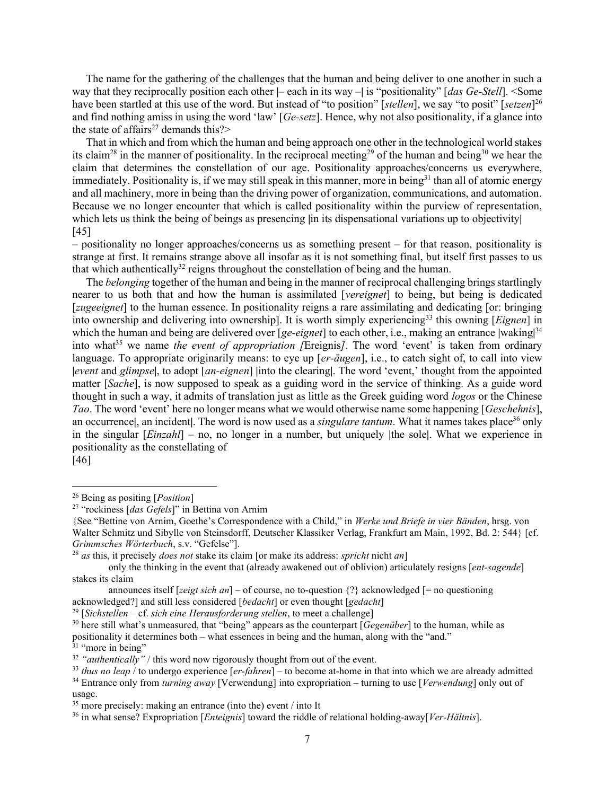The name for the gathering of the challenges that the human and being deliver to one another in such a way that they reciprocally position each other  $|-$  each in its way  $-|$  is "positionality" [das Ge-Stell]. <Some have been startled at this use of the word. But instead of "to position" [stellen], we say "to posit" [setzen]<sup>26</sup> and find nothing amiss in using the word 'law' [Ge-setz]. Hence, why not also positionality, if a glance into the state of affairs<sup>27</sup> demands this? $>$ 

 That in which and from which the human and being approach one other in the technological world stakes its claim<sup>28</sup> in the manner of positionality. In the reciprocal meeting<sup>29</sup> of the human and being<sup>30</sup> we hear the claim that determines the constellation of our age. Positionality approaches/concerns us everywhere, immediately. Positionality is, if we may still speak in this manner, more in being<sup>31</sup> than all of atomic energy and all machinery, more in being than the driving power of organization, communications, and automation. Because we no longer encounter that which is called positionality within the purview of representation, which lets us think the being of beings as presencing  $\vert$  in its dispensational variations up to objectivity [45]

– positionality no longer approaches/concerns us as something present – for that reason, positionality is strange at first. It remains strange above all insofar as it is not something final, but itself first passes to us that which authentically<sup>32</sup> reigns throughout the constellation of being and the human.

The *belonging* together of the human and being in the manner of reciprocal challenging brings startlingly nearer to us both that and how the human is assimilated [vereignet] to being, but being is dedicated [*zugeeignet*] to the human essence. In positionality reigns a rare assimilating and dedicating [or: bringing] into ownership and delivering into ownership]. It is worth simply experiencing<sup>33</sup> this owning [*Eignen*] in which the human and being are delivered over [ge-eignet] to each other, i.e., making an entrance |waking| $34$ into what<sup>35</sup> we name the event of appropriation (Ereignis). The word 'event' is taken from ordinary language. To appropriate originarily means: to eye up [er-äugen], i.e., to catch sight of, to call into view |event and glimpse|, to adopt [an-eignen] |into the clearing|. The word 'event,' thought from the appointed matter [Sache], is now supposed to speak as a guiding word in the service of thinking. As a guide word thought in such a way, it admits of translation just as little as the Greek guiding word logos or the Chinese Tao. The word 'event' here no longer means what we would otherwise name some happening [Geschehnis], an occurrence, an incident. The word is now used as a *singulare tantum*. What it names takes place<sup>36</sup> only in the singular  $[Einzahl]$  – no, no longer in a number, but uniquely |the sole|. What we experience in positionality as the constellating of

[46]

<sup>31</sup> "more in being"

<sup>&</sup>lt;sup>26</sup> Being as positing  $[Position]$ 

<sup>27</sup> "rockiness [das Gefels]" in Bettina von Arnim

<sup>{</sup>See "Bettine von Arnim, Goethe's Correspondence with a Child," in Werke und Briefe in vier Bänden, hrsg. von Walter Schmitz und Sibylle von Steinsdorff, Deutscher Klassiker Verlag, Frankfurt am Main, 1992, Bd. 2: 544} [cf. Grimmsches Wörterbuch, s.v. "Gefelse"].

 $^{28}$  as this, it precisely *does not* stake its claim [or make its address: *spricht* nicht an]

only the thinking in the event that (already awakened out of oblivion) articulately resigns [ent-sagende] stakes its claim

announces itself [zeigt sich an] – of course, no to-question  $\{$ ? acknowledged [= no questioning acknowledged?] and still less considered [bedacht] or even thought [gedacht]

 $29$  [Sichstellen – cf. sich eine Herausforderung stellen, to meet a challenge]

 $30$  here still what's unmeasured, that "being" appears as the counterpart  $[Gegenüber]$  to the human, while as positionality it determines both – what essences in being and the human, along with the "and."

 $32$  "*authentically*" / this word now rigorously thought from out of the event.

 $33$  thus no leap / to undergo experience  $[er-fahren]$  – to become at-home in that into which we are already admitted <sup>34</sup> Entrance only from *turning away* [Verwendung] into expropriation – turning to use [*Verwendung*] only out of usage.

 $35$  more precisely: making an entrance (into the) event / into It

<sup>&</sup>lt;sup>36</sup> in what sense? Expropriation [*Enteignis*] toward the riddle of relational holding-away[*Ver-Hältnis*].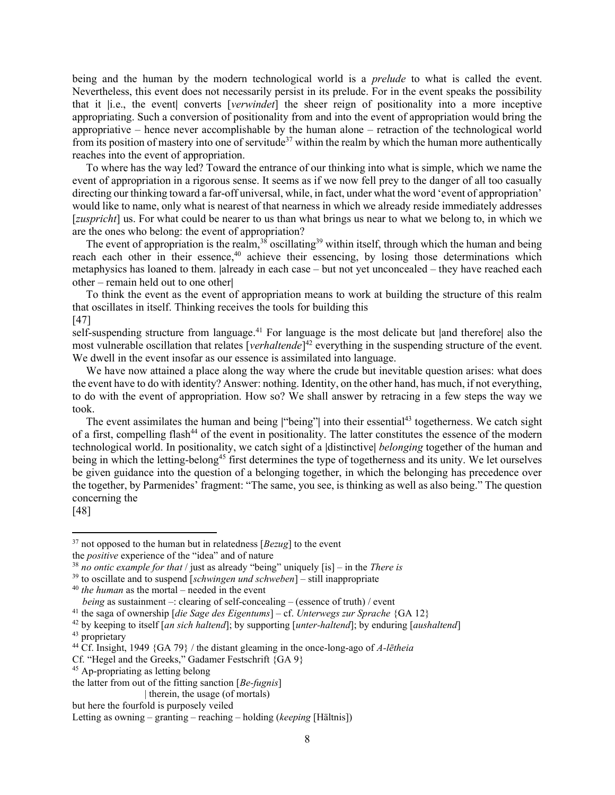being and the human by the modern technological world is a *prelude* to what is called the event. Nevertheless, this event does not necessarily persist in its prelude. For in the event speaks the possibility that it |i.e., the event| converts [verwindet] the sheer reign of positionality into a more inceptive appropriating. Such a conversion of positionality from and into the event of appropriation would bring the appropriative – hence never accomplishable by the human alone – retraction of the technological world from its position of mastery into one of servitude<sup>37</sup> within the realm by which the human more authentically reaches into the event of appropriation.

 To where has the way led? Toward the entrance of our thinking into what is simple, which we name the event of appropriation in a rigorous sense. It seems as if we now fell prey to the danger of all too casually directing our thinking toward a far-off universal, while, in fact, under what the word 'event of appropriation' would like to name, only what is nearest of that nearness in which we already reside immediately addresses [*zuspricht*] us. For what could be nearer to us than what brings us near to what we belong to, in which we are the ones who belong: the event of appropriation?

The event of appropriation is the realm,<sup>38</sup> oscillating<sup>39</sup> within itself, through which the human and being reach each other in their essence,<sup>40</sup> achieve their essencing, by losing those determinations which metaphysics has loaned to them. |already in each case – but not yet unconcealed – they have reached each other – remain held out to one other|

 To think the event as the event of appropriation means to work at building the structure of this realm that oscillates in itself. Thinking receives the tools for building this [47]

self-suspending structure from language.<sup>41</sup> For language is the most delicate but |and therefore| also the most vulnerable oscillation that relates [*verhaltende*]<sup>42</sup> everything in the suspending structure of the event. We dwell in the event insofar as our essence is assimilated into language.

 We have now attained a place along the way where the crude but inevitable question arises: what does the event have to do with identity? Answer: nothing. Identity, on the other hand, has much, if not everything, to do with the event of appropriation. How so? We shall answer by retracing in a few steps the way we took.

The event assimilates the human and being "being" into their essential<sup>43</sup> togetherness. We catch sight of a first, compelling flash<sup>44</sup> of the event in positionality. The latter constitutes the essence of the modern technological world. In positionality, we catch sight of a |distinctive| belonging together of the human and being in which the letting-belong<sup>45</sup> first determines the type of togetherness and its unity. We let ourselves be given guidance into the question of a belonging together, in which the belonging has precedence over the together, by Parmenides' fragment: "The same, you see, is thinking as well as also being." The question concerning the

[48]

<sup>43</sup> proprietary

 $37$  not opposed to the human but in relatedness [ $Bezug$ ] to the event

the positive experience of the "idea" and of nature

<sup>&</sup>lt;sup>38</sup> no ontic example for that / just as already "being" uniquely [is] – in the *There is* 

 $39$  to oscillate and to suspend [schwingen und schweben] – still inappropriate

 $40$  the human as the mortal – needed in the event

being as sustainment –: clearing of self-concealing – (essence of truth) / event

<sup>&</sup>lt;sup>41</sup> the saga of ownership [die Sage des Eigentums] – cf. Unterwegs zur Sprache {GA 12}

 $42$  by keeping to itself [an sich haltend]; by supporting [unter-haltend]; by enduring [aushaltend]

<sup>&</sup>lt;sup>44</sup> Cf. Insight, 1949 {GA 79} / the distant gleaming in the once-long-ago of A-letheia

Cf. "Hegel and the Greeks," Gadamer Festschrift {GA 9}

<sup>45</sup> Ap-propriating as letting belong

the latter from out of the fitting sanction  $[Be-fugnis]$ 

 <sup>|</sup> therein, the usage (of mortals)

but here the fourfold is purposely veiled

Letting as owning – granting – reaching – holding (keeping [Hältnis])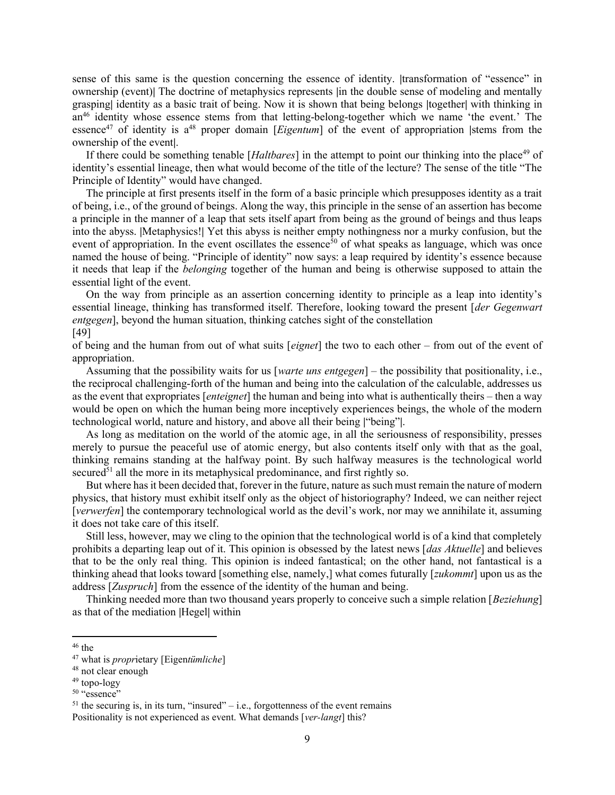sense of this same is the question concerning the essence of identity. |transformation of "essence" in ownership (event)| The doctrine of metaphysics represents |in the double sense of modeling and mentally grasping| identity as a basic trait of being. Now it is shown that being belongs |together| with thinking in an<sup>46</sup> identity whose essence stems from that letting-belong-together which we name 'the event.' The essence<sup>47</sup> of identity is  $a^{48}$  proper domain [*Eigentum*] of the event of appropriation |stems from the ownership of the event|.

If there could be something tenable [Haltbares] in the attempt to point our thinking into the place<sup>49</sup> of identity's essential lineage, then what would become of the title of the lecture? The sense of the title "The Principle of Identity" would have changed.

 The principle at first presents itself in the form of a basic principle which presupposes identity as a trait of being, i.e., of the ground of beings. Along the way, this principle in the sense of an assertion has become a principle in the manner of a leap that sets itself apart from being as the ground of beings and thus leaps into the abyss. |Metaphysics!| Yet this abyss is neither empty nothingness nor a murky confusion, but the event of appropriation. In the event oscillates the essence<sup>50</sup> of what speaks as language, which was once named the house of being. "Principle of identity" now says: a leap required by identity's essence because it needs that leap if the belonging together of the human and being is otherwise supposed to attain the essential light of the event.

 On the way from principle as an assertion concerning identity to principle as a leap into identity's essential lineage, thinking has transformed itself. Therefore, looking toward the present [der Gegenwart entgegen], beyond the human situation, thinking catches sight of the constellation

# [49]

of being and the human from out of what suits [eignet] the two to each other – from out of the event of appropriation.

Assuming that the possibility waits for us [warte uns entgegen] – the possibility that positionality, i.e., the reciprocal challenging-forth of the human and being into the calculation of the calculable, addresses us as the event that expropriates [enteignet] the human and being into what is authentically theirs – then a way would be open on which the human being more inceptively experiences beings, the whole of the modern technological world, nature and history, and above all their being |"being"|.

 As long as meditation on the world of the atomic age, in all the seriousness of responsibility, presses merely to pursue the peaceful use of atomic energy, but also contents itself only with that as the goal, thinking remains standing at the halfway point. By such halfway measures is the technological world secured<sup>51</sup> all the more in its metaphysical predominance, and first rightly so.

 But where has it been decided that, forever in the future, nature as such must remain the nature of modern physics, that history must exhibit itself only as the object of historiography? Indeed, we can neither reject [verwerfen] the contemporary technological world as the devil's work, nor may we annihilate it, assuming it does not take care of this itself.

 Still less, however, may we cling to the opinion that the technological world is of a kind that completely prohibits a departing leap out of it. This opinion is obsessed by the latest news [*das Aktuelle*] and believes that to be the only real thing. This opinion is indeed fantastical; on the other hand, not fantastical is a thinking ahead that looks toward [something else, namely,] what comes futurally [*zukommt*] upon us as the address [Zuspruch] from the essence of the identity of the human and being.

Thinking needed more than two thousand years properly to conceive such a simple relation [*Beziehung*] as that of the mediation |Hegel| within

 $51$  the securing is, in its turn, "insured" – i.e., forgottenness of the event remains Positionality is not experienced as event. What demands [ver-langt] this?

 $46$  the

 $47$  what is *proprietary* [Eigentümliche]

<sup>48</sup> not clear enough

<sup>49</sup> topo-logy

 $50$  "essence"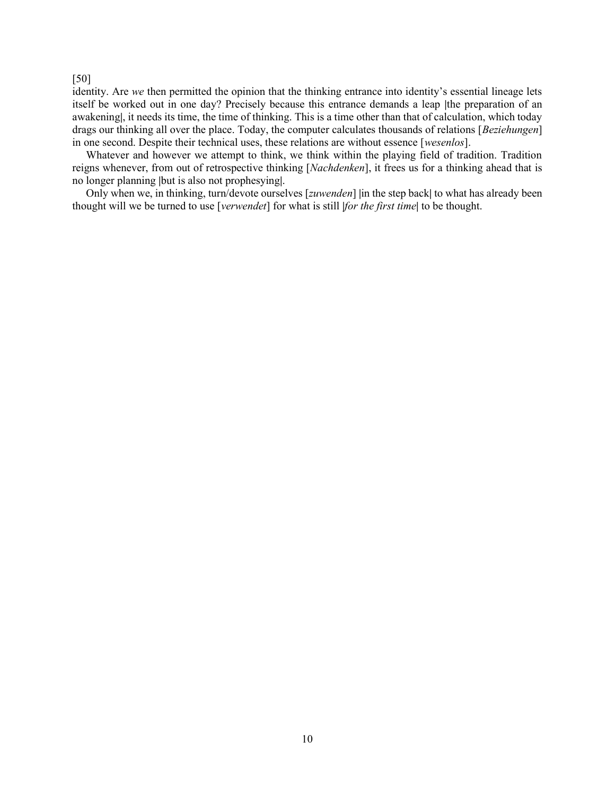## [50]

identity. Are we then permitted the opinion that the thinking entrance into identity's essential lineage lets itself be worked out in one day? Precisely because this entrance demands a leap |the preparation of an awakening|, it needs its time, the time of thinking. This is a time other than that of calculation, which today drags our thinking all over the place. Today, the computer calculates thousands of relations [Beziehungen] in one second. Despite their technical uses, these relations are without essence [wesenlos].

 Whatever and however we attempt to think, we think within the playing field of tradition. Tradition reigns whenever, from out of retrospective thinking [Nachdenken], it frees us for a thinking ahead that is no longer planning |but is also not prophesying|.

Only when we, in thinking, turn/devote ourselves [zuwenden] |in the step back| to what has already been thought will we be turned to use [verwendet] for what is still |for the first time| to be thought.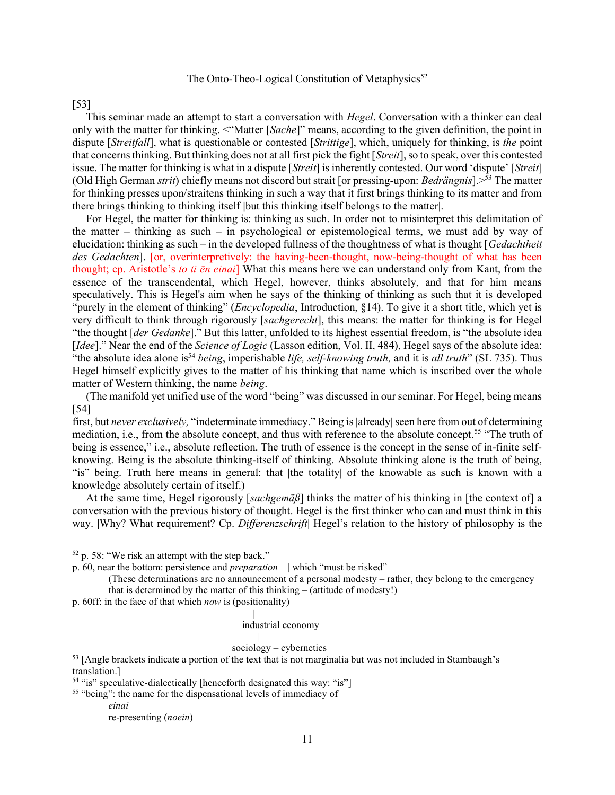# The Onto-Theo-Logical Constitution of Metaphysics<sup>52</sup>

[53]

This seminar made an attempt to start a conversation with *Hegel*. Conversation with a thinker can deal only with the matter for thinking. <"Matter [Sache]" means, according to the given definition, the point in dispute [*Streitfall*], what is questionable or contested [*Strittige*], which, uniquely for thinking, is the point that concerns thinking. But thinking does not at all first pick the fight [Streit], so to speak, over this contested issue. The matter for thinking is what in a dispute [*Streit*] is inherently contested. Our word 'dispute' [*Streit*] (Old High German strit) chiefly means not discord but strait [or pressing-upon: *Bedrängnis*].  $>53$  The matter for thinking presses upon/straitens thinking in such a way that it first brings thinking to its matter and from there brings thinking to thinking itself |but this thinking itself belongs to the matter|.

 For Hegel, the matter for thinking is: thinking as such. In order not to misinterpret this delimitation of the matter – thinking as such – in psychological or epistemological terms, we must add by way of elucidation: thinking as such – in the developed fullness of the thoughtness of what is thought  $[Ge\,dachtheit]$ des Gedachten]. [or, overinterpretively: the having-been-thought, now-being-thought of what has been thought; cp. Aristotle's to ti en einai. What this means here we can understand only from Kant, from the essence of the transcendental, which Hegel, however, thinks absolutely, and that for him means speculatively. This is Hegel's aim when he says of the thinking of thinking as such that it is developed "purely in the element of thinking" (*Encyclopedia*, Introduction, §14). To give it a short title, which yet is very difficult to think through rigorously [sachgerecht], this means: the matter for thinking is for Hegel "the thought [der Gedanke]." But this latter, unfolded to its highest essential freedom, is "the absolute idea [Idee]." Near the end of the *Science of Logic* (Lasson edition, Vol. II, 484), Hegel says of the absolute idea: "the absolute idea alone is<sup>54</sup> being, imperishable life, self-knowing truth, and it is all truth" (SL 735). Thus Hegel himself explicitly gives to the matter of his thinking that name which is inscribed over the whole matter of Western thinking, the name being.

 (The manifold yet unified use of the word "being" was discussed in our seminar. For Hegel, being means [54]

first, but never exclusively, "indeterminate immediacy." Being is |already| seen here from out of determining mediation, i.e., from the absolute concept, and thus with reference to the absolute concept.<sup>55</sup> "The truth of being is essence," i.e., absolute reflection. The truth of essence is the concept in the sense of in-finite selfknowing. Being is the absolute thinking-itself of thinking. Absolute thinking alone is the truth of being, "is" being. Truth here means in general: that |the totality| of the knowable as such is known with a knowledge absolutely certain of itself.)

At the same time, Hegel rigorously [sachgem $\ddot{a}\beta$ ] thinks the matter of his thinking in [the context of] a conversation with the previous history of thought. Hegel is the first thinker who can and must think in this way. |Why? What requirement? Cp. Differenzschrift| Hegel's relation to the history of philosophy is the

|

|

#### industrial economy

### sociology – cybernetics

<sup>53</sup> [Angle brackets indicate a portion of the text that is not marginalia but was not included in Stambaugh's translation.]

<sup>55</sup> "being": the name for the dispensational levels of immediacy of einai

 $52$  p. 58: "We risk an attempt with the step back."

p. 60, near the bottom: persistence and *preparation*  $-$  | which "must be risked"

<sup>(</sup>These determinations are no announcement of a personal modesty – rather, they belong to the emergency that is determined by the matter of this thinking – (attitude of modesty!)

p. 60ff: in the face of that which now is (positionality)

<sup>54</sup> "is" speculative-dialectically [henceforth designated this way: "is"]

re-presenting (noein)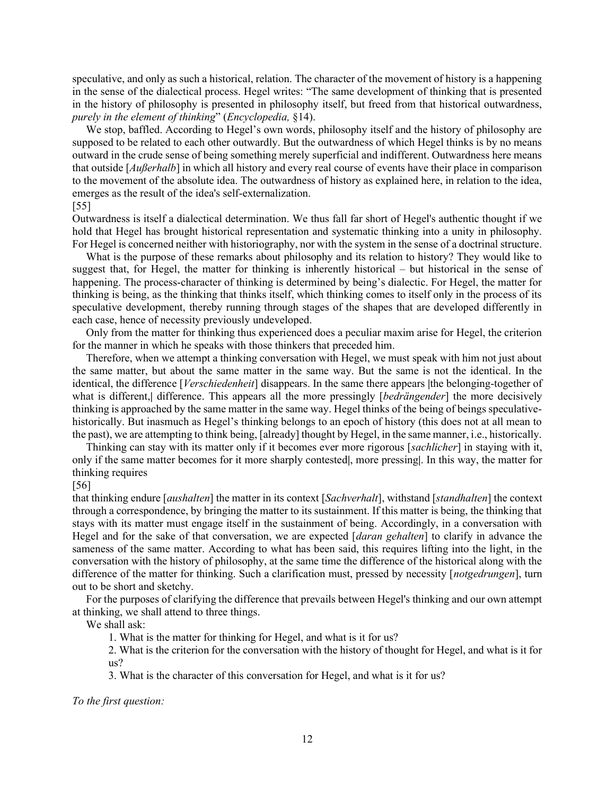speculative, and only as such a historical, relation. The character of the movement of history is a happening in the sense of the dialectical process. Hegel writes: "The same development of thinking that is presented in the history of philosophy is presented in philosophy itself, but freed from that historical outwardness, purely in the element of thinking" (Encyclopedia, §14).

 We stop, baffled. According to Hegel's own words, philosophy itself and the history of philosophy are supposed to be related to each other outwardly. But the outwardness of which Hegel thinks is by no means outward in the crude sense of being something merely superficial and indifferent. Outwardness here means that outside [*Außerhalb*] in which all history and every real course of events have their place in comparison to the movement of the absolute idea. The outwardness of history as explained here, in relation to the idea, emerges as the result of the idea's self-externalization.

### [55]

Outwardness is itself a dialectical determination. We thus fall far short of Hegel's authentic thought if we hold that Hegel has brought historical representation and systematic thinking into a unity in philosophy. For Hegel is concerned neither with historiography, nor with the system in the sense of a doctrinal structure.

 What is the purpose of these remarks about philosophy and its relation to history? They would like to suggest that, for Hegel, the matter for thinking is inherently historical – but historical in the sense of happening. The process-character of thinking is determined by being's dialectic. For Hegel, the matter for thinking is being, as the thinking that thinks itself, which thinking comes to itself only in the process of its speculative development, thereby running through stages of the shapes that are developed differently in each case, hence of necessity previously undeveloped.

 Only from the matter for thinking thus experienced does a peculiar maxim arise for Hegel, the criterion for the manner in which he speaks with those thinkers that preceded him.

 Therefore, when we attempt a thinking conversation with Hegel, we must speak with him not just about the same matter, but about the same matter in the same way. But the same is not the identical. In the identical, the difference [*Verschiedenheit*] disappears. In the same there appears |the belonging-together of what is different, difference. This appears all the more pressingly [bedrängender] the more decisively thinking is approached by the same matter in the same way. Hegel thinks of the being of beings speculativehistorically. But inasmuch as Hegel's thinking belongs to an epoch of history (this does not at all mean to the past), we are attempting to think being, [already] thought by Hegel, in the same manner, i.e., historically.

 Thinking can stay with its matter only if it becomes ever more rigorous [sachlicher] in staying with it, only if the same matter becomes for it more sharply contested|, more pressing|. In this way, the matter for thinking requires

[56]

that thinking endure [aushalten] the matter in its context [Sachverhalt], withstand [standhalten] the context through a correspondence, by bringing the matter to its sustainment. If this matter is being, the thinking that stays with its matter must engage itself in the sustainment of being. Accordingly, in a conversation with Hegel and for the sake of that conversation, we are expected [*daran gehalten*] to clarify in advance the sameness of the same matter. According to what has been said, this requires lifting into the light, in the conversation with the history of philosophy, at the same time the difference of the historical along with the difference of the matter for thinking. Such a clarification must, pressed by necessity [notgedrungen], turn out to be short and sketchy.

 For the purposes of clarifying the difference that prevails between Hegel's thinking and our own attempt at thinking, we shall attend to three things.

We shall ask:

1. What is the matter for thinking for Hegel, and what is it for us?

2. What is the criterion for the conversation with the history of thought for Hegel, and what is it for us?

3. What is the character of this conversation for Hegel, and what is it for us?

To the first question: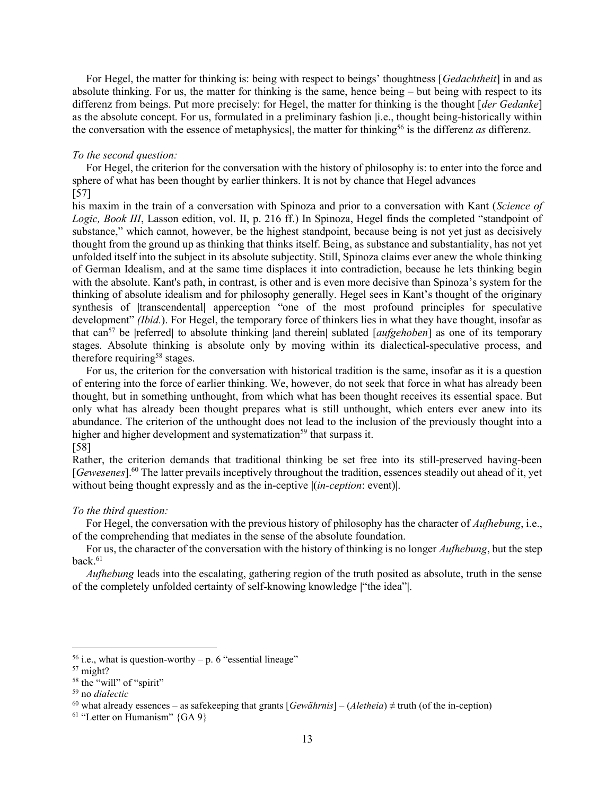For Hegel, the matter for thinking is: being with respect to beings' thoughtness [Gedachtheit] in and as absolute thinking. For us, the matter for thinking is the same, hence being – but being with respect to its differenz from beings. Put more precisely: for Hegel, the matter for thinking is the thought [der Gedanke] as the absolute concept. For us, formulated in a preliminary fashion |i.e., thought being-historically within the conversation with the essence of metaphysics, the matter for thinking<sup>56</sup> is the differenz as differenz.

#### To the second question:

 For Hegel, the criterion for the conversation with the history of philosophy is: to enter into the force and sphere of what has been thought by earlier thinkers. It is not by chance that Hegel advances [57]

his maxim in the train of a conversation with Spinoza and prior to a conversation with Kant (Science of Logic, Book III, Lasson edition, vol. II, p. 216 ff.) In Spinoza, Hegel finds the completed "standpoint of substance," which cannot, however, be the highest standpoint, because being is not yet just as decisively thought from the ground up as thinking that thinks itself. Being, as substance and substantiality, has not yet unfolded itself into the subject in its absolute subjectity. Still, Spinoza claims ever anew the whole thinking of German Idealism, and at the same time displaces it into contradiction, because he lets thinking begin with the absolute. Kant's path, in contrast, is other and is even more decisive than Spinoza's system for the thinking of absolute idealism and for philosophy generally. Hegel sees in Kant's thought of the originary synthesis of |transcendental| apperception "one of the most profound principles for speculative development" *(Ibid.)*. For Hegel, the temporary force of thinkers lies in what they have thought, insofar as that can<sup>57</sup> be |referred| to absolute thinking |and therein| sublated  $[aufgehoben]$  as one of its temporary stages. Absolute thinking is absolute only by moving within its dialectical-speculative process, and therefore requiring<sup>58</sup> stages.

 For us, the criterion for the conversation with historical tradition is the same, insofar as it is a question of entering into the force of earlier thinking. We, however, do not seek that force in what has already been thought, but in something unthought, from which what has been thought receives its essential space. But only what has already been thought prepares what is still unthought, which enters ever anew into its abundance. The criterion of the unthought does not lead to the inclusion of the previously thought into a higher and higher development and systematization<sup>59</sup> that surpass it. [58]

Rather, the criterion demands that traditional thinking be set free into its still-preserved having-been [Gewesenes].<sup>60</sup> The latter prevails inceptively throughout the tradition, essences steadily out ahead of it, yet without being thought expressly and as the in-ceptive  $|(in\text{-}ception: event)|$ .

### To the third question:

For Hegel, the conversation with the previous history of philosophy has the character of *Aufhebung*, i.e., of the comprehending that mediates in the sense of the absolute foundation.

For us, the character of the conversation with the history of thinking is no longer *Aufhebung*, but the step  $\rm back.61$ 

Aufhebung leads into the escalating, gathering region of the truth posited as absolute, truth in the sense of the completely unfolded certainty of self-knowing knowledge |"the idea"|.

<sup>&</sup>lt;sup>56</sup> i.e., what is question-worthy – p. 6 "essential lineage"

<sup>57</sup> might?

<sup>&</sup>lt;sup>58</sup> the "will" of "spirit"

<sup>59</sup> no dialectic

<sup>&</sup>lt;sup>60</sup> what already essences – as safekeeping that grants  $[Gew\ddot{a}h\dot{m}$  =  $(Aletheid) \neq \text{truth}$  (of the in-ception)

<sup>&</sup>lt;sup>61</sup> "Letter on Humanism" {GA 9}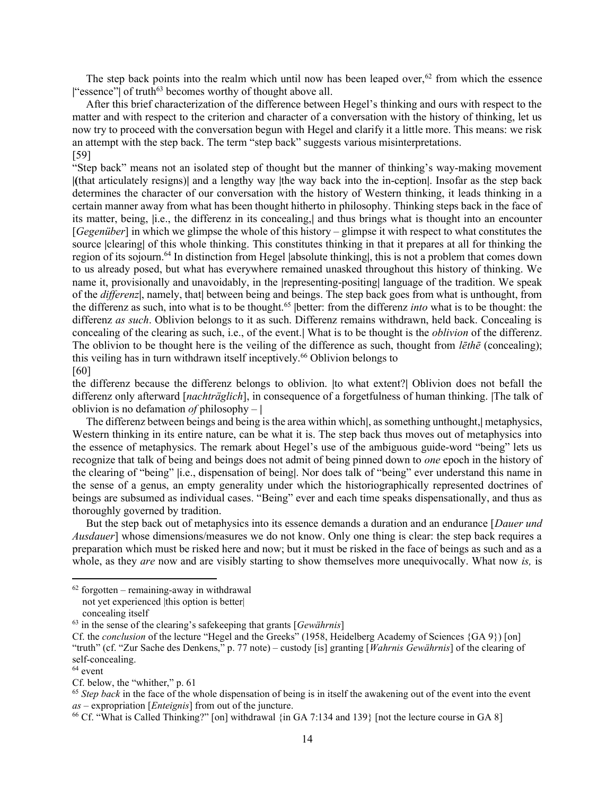The step back points into the realm which until now has been leaped over,  $62$  from which the essence |"essence"| of truth<sup>63</sup> becomes worthy of thought above all.

 After this brief characterization of the difference between Hegel's thinking and ours with respect to the matter and with respect to the criterion and character of a conversation with the history of thinking, let us now try to proceed with the conversation begun with Hegel and clarify it a little more. This means: we risk an attempt with the step back. The term "step back" suggests various misinterpretations. [59]

"Step back" means not an isolated step of thought but the manner of thinking's way-making movement |(that articulately resigns)| and a lengthy way |the way back into the in-ception|. Insofar as the step back determines the character of our conversation with the history of Western thinking, it leads thinking in a certain manner away from what has been thought hitherto in philosophy. Thinking steps back in the face of its matter, being, |i.e., the differenz in its concealing,| and thus brings what is thought into an encounter  $[Gegenüber]$  in which we glimpse the whole of this history – glimpse it with respect to what constitutes the source |clearing| of this whole thinking. This constitutes thinking in that it prepares at all for thinking the region of its sojourn.<sup>64</sup> In distinction from Hegel |absolute thinking|, this is not a problem that comes down to us already posed, but what has everywhere remained unasked throughout this history of thinking. We name it, provisionally and unavoidably, in the |representing-positing| language of the tradition. We speak of the *differenz*, namely, that between being and beings. The step back goes from what is unthought, from the differenz as such, into what is to be thought.<sup>65</sup> |better: from the differenz *into* what is to be thought: the differenz as such. Oblivion belongs to it as such. Differenz remains withdrawn, held back. Concealing is concealing of the clearing as such, i.e., of the event. What is to be thought is the *oblivion* of the differenz. The oblivion to be thought here is the veiling of the difference as such, thought from *lethe* (concealing); this veiling has in turn withdrawn itself inceptively.<sup>66</sup> Oblivion belongs to [60]

the differenz because the differenz belongs to oblivion. |to what extent?| Oblivion does not befall the differenz only afterward [*nachträglich*], in consequence of a forgetfulness of human thinking. [The talk of oblivion is no defamation of philosophy  $-$  |

 The differenz between beings and being is the area within which|, as something unthought,| metaphysics, Western thinking in its entire nature, can be what it is. The step back thus moves out of metaphysics into the essence of metaphysics. The remark about Hegel's use of the ambiguous guide-word "being" lets us recognize that talk of being and beings does not admit of being pinned down to *one* epoch in the history of the clearing of "being" |i.e., dispensation of being|. Nor does talk of "being" ever understand this name in the sense of a genus, an empty generality under which the historiographically represented doctrines of beings are subsumed as individual cases. "Being" ever and each time speaks dispensationally, and thus as thoroughly governed by tradition.

But the step back out of metaphysics into its essence demands a duration and an endurance [*Dauer und* Ausdauer] whose dimensions/measures we do not know. Only one thing is clear: the step back requires a preparation which must be risked here and now; but it must be risked in the face of beings as such and as a whole, as they *are* now and are visibly starting to show themselves more unequivocally. What now *is*, is

 $65$  Step back in the face of the whole dispensation of being is in itself the awakening out of the event into the event  $as$  – expropriation [*Enteignis*] from out of the juncture.

 $62$  forgotten – remaining-away in withdrawal

not yet experienced |this option is better|

concealing itself

 $63$  in the sense of the clearing's safekeeping that grants [*Gewährnis*]

Cf. the *conclusion* of the lecture "Hegel and the Greeks" (1958, Heidelberg Academy of Sciences {GA 9}) [on] "truth" (cf. "Zur Sache des Denkens," p. 77 note) – custody [is] granting [Wahrnis Gewährnis] of the clearing of self-concealing.

 $64$  event

Cf. below, the "whither," p. 61

<sup>66</sup> Cf. "What is Called Thinking?" [on] withdrawal {in GA 7:134 and 139} [not the lecture course in GA 8]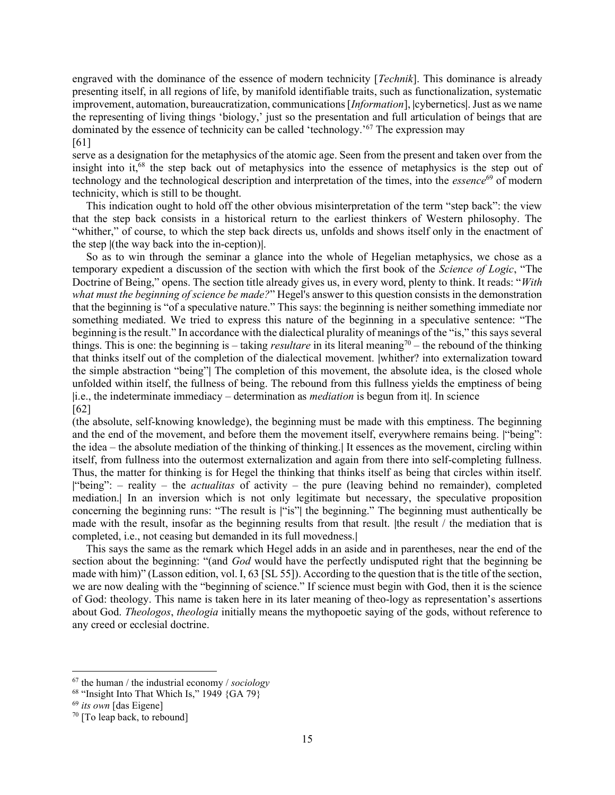engraved with the dominance of the essence of modern technicity [*Technik*]. This dominance is already presenting itself, in all regions of life, by manifold identifiable traits, such as functionalization, systematic improvement, automation, bureaucratization, communications [Information], |cybernetics|. Just as we name the representing of living things 'biology,' just so the presentation and full articulation of beings that are dominated by the essence of technicity can be called 'technology.'<sup>67</sup> The expression may [61]

serve as a designation for the metaphysics of the atomic age. Seen from the present and taken over from the insight into it,<sup>68</sup> the step back out of metaphysics into the essence of metaphysics is the step out of technology and the technological description and interpretation of the times, into the *essence*<sup>69</sup> of modern technicity, which is still to be thought.

 This indication ought to hold off the other obvious misinterpretation of the term "step back": the view that the step back consists in a historical return to the earliest thinkers of Western philosophy. The "whither," of course, to which the step back directs us, unfolds and shows itself only in the enactment of the step |(the way back into the in-ception)|.

 So as to win through the seminar a glance into the whole of Hegelian metaphysics, we chose as a temporary expedient a discussion of the section with which the first book of the Science of Logic, "The Doctrine of Being," opens. The section title already gives us, in every word, plenty to think. It reads: "With what must the beginning of science be made?" Hegel's answer to this question consists in the demonstration that the beginning is "of a speculative nature." This says: the beginning is neither something immediate nor something mediated. We tried to express this nature of the beginning in a speculative sentence: "The beginning is the result." In accordance with the dialectical plurality of meanings of the "is," this says several things. This is one: the beginning is – taking *resultare* in its literal meaning<sup>70</sup> – the rebound of the thinking that thinks itself out of the completion of the dialectical movement. |whither? into externalization toward the simple abstraction "being"| The completion of this movement, the absolute idea, is the closed whole unfolded within itself, the fullness of being. The rebound from this fullness yields the emptiness of being |i.e., the indeterminate immediacy – determination as mediation is begun from it|. In science [62]

(the absolute, self-knowing knowledge), the beginning must be made with this emptiness. The beginning and the end of the movement, and before them the movement itself, everywhere remains being. |"being": the idea – the absolute mediation of the thinking of thinking.| It essences as the movement, circling within itself, from fullness into the outermost externalization and again from there into self-completing fullness. Thus, the matter for thinking is for Hegel the thinking that thinks itself as being that circles within itself. |"being":  $-$  reality  $-$  the *actualitas* of activity  $-$  the pure (leaving behind no remainder), completed mediation.| In an inversion which is not only legitimate but necessary, the speculative proposition concerning the beginning runs: "The result is |"is"| the beginning." The beginning must authentically be made with the result, insofar as the beginning results from that result. |the result / the mediation that is completed, i.e., not ceasing but demanded in its full movedness.|

 This says the same as the remark which Hegel adds in an aside and in parentheses, near the end of the section about the beginning: "(and *God* would have the perfectly undisputed right that the beginning be made with him)" (Lasson edition, vol. I, 63 [SL 55]). According to the question that is the title of the section, we are now dealing with the "beginning of science." If science must begin with God, then it is the science of God: theology. This name is taken here in its later meaning of theo-logy as representation's assertions about God. *Theologos, theologia* initially means the mythopoetic saying of the gods, without reference to any creed or ecclesial doctrine.

 $67$  the human / the industrial economy / sociology

<sup>&</sup>lt;sup>68</sup> "Insight Into That Which Is," 1949  ${G A 79}$ 

 $69$  its own [das Eigene]

<sup>70</sup> [To leap back, to rebound]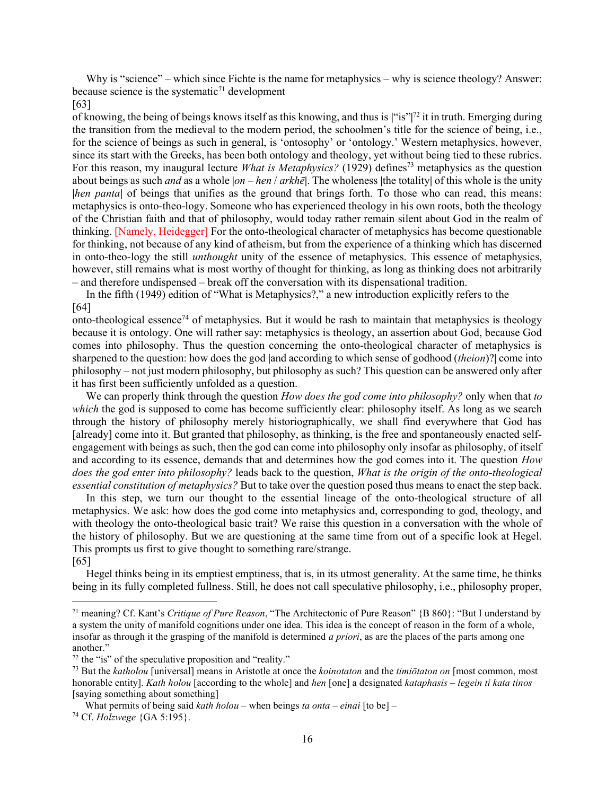Why is "science" – which since Fichte is the name for metaphysics – why is science theology? Answer: because science is the systematic<sup>71</sup> development

#### [63]

of knowing, the being of beings knows itself as this knowing, and thus is |"is"|<sup>72</sup> it in truth. Emerging during the transition from the medieval to the modern period, the schoolmen's title for the science of being, i.e., for the science of beings as such in general, is 'ontosophy' or 'ontology.' Western metaphysics, however, since its start with the Greeks, has been both ontology and theology, yet without being tied to these rubrics. For this reason, my inaugural lecture *What is Metaphysics*? (1929) defines<sup>73</sup> metaphysics as the question about beings as such and as a whole  $|on - hen / arkh\bar{e}|$ . The wholeness |the totality| of this whole is the unity |hen panta| of beings that unifies as the ground that brings forth. To those who can read, this means: metaphysics is onto-theo-logy. Someone who has experienced theology in his own roots, both the theology of the Christian faith and that of philosophy, would today rather remain silent about God in the realm of thinking. [Namely, Heidegger] For the onto-theological character of metaphysics has become questionable for thinking, not because of any kind of atheism, but from the experience of a thinking which has discerned in onto-theo-logy the still unthought unity of the essence of metaphysics. This essence of metaphysics, however, still remains what is most worthy of thought for thinking, as long as thinking does not arbitrarily – and therefore undispensed – break off the conversation with its dispensational tradition.

 In the fifth (1949) edition of "What is Metaphysics?," a new introduction explicitly refers to the [64]

onto-theological essence<sup>74</sup> of metaphysics. But it would be rash to maintain that metaphysics is theology because it is ontology. One will rather say: metaphysics is theology, an assertion about God, because God comes into philosophy. Thus the question concerning the onto-theological character of metaphysics is sharpened to the question: how does the god |and according to which sense of godhood *(theion)*? come into philosophy – not just modern philosophy, but philosophy as such? This question can be answered only after it has first been sufficiently unfolded as a question.

We can properly think through the question *How does the god come into philosophy*? only when that to which the god is supposed to come has become sufficiently clear: philosophy itself. As long as we search through the history of philosophy merely historiographically, we shall find everywhere that God has [already] come into it. But granted that philosophy, as thinking, is the free and spontaneously enacted selfengagement with beings as such, then the god can come into philosophy only insofar as philosophy, of itself and according to its essence, demands that and determines how the god comes into it. The question *How* does the god enter into philosophy? leads back to the question, What is the origin of the onto-theological essential constitution of metaphysics? But to take over the question posed thus means to enact the step back.

 In this step, we turn our thought to the essential lineage of the onto-theological structure of all metaphysics. We ask: how does the god come into metaphysics and, corresponding to god, theology, and with theology the onto-theological basic trait? We raise this question in a conversation with the whole of the history of philosophy. But we are questioning at the same time from out of a specific look at Hegel. This prompts us first to give thought to something rare/strange. [65]

 Hegel thinks being in its emptiest emptiness, that is, in its utmost generality. At the same time, he thinks being in its fully completed fullness. Still, he does not call speculative philosophy, i.e., philosophy proper,

<sup>&</sup>lt;sup>71</sup> meaning? Cf. Kant's Critique of Pure Reason, "The Architectonic of Pure Reason" {B 860}: "But I understand by a system the unity of manifold cognitions under one idea. This idea is the concept of reason in the form of a whole, insofar as through it the grasping of the manifold is determined a priori, as are the places of the parts among one another."

 $72$  the "is" of the speculative proposition and "reality."

 $^{73}$  But the *katholou* [universal] means in Aristotle at once the *koinotaton* and the *timiōtaton on* [most common, most honorable entity]. Kath holou [according to the whole] and hen [one] a designated kataphasis – legein ti kata tinos [saying something about something]

What permits of being said kath holou – when beings ta onta – einai [to be] – 74 Cf. Holzwege {GA 5:195}.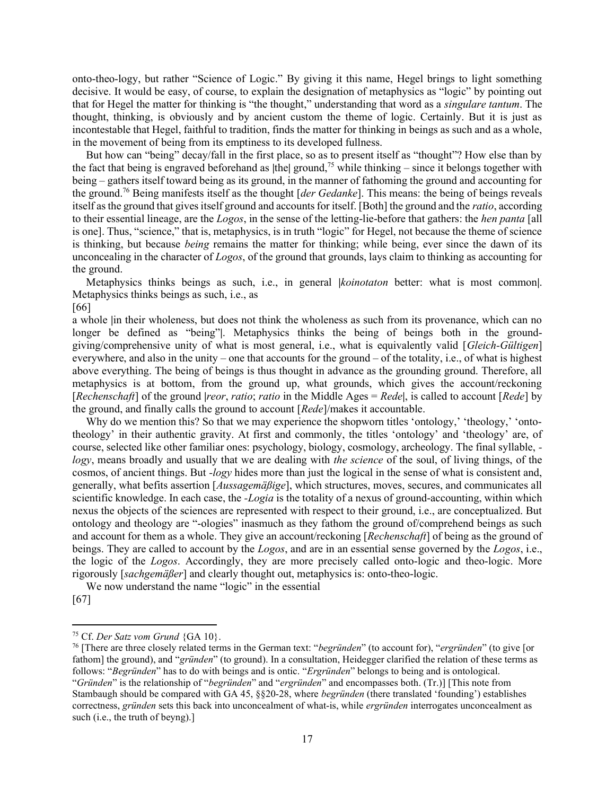onto-theo-logy, but rather "Science of Logic." By giving it this name, Hegel brings to light something decisive. It would be easy, of course, to explain the designation of metaphysics as "logic" by pointing out that for Hegel the matter for thinking is "the thought," understanding that word as a singulare tantum. The thought, thinking, is obviously and by ancient custom the theme of logic. Certainly. But it is just as incontestable that Hegel, faithful to tradition, finds the matter for thinking in beings as such and as a whole, in the movement of being from its emptiness to its developed fullness.

 But how can "being" decay/fall in the first place, so as to present itself as "thought"? How else than by the fact that being is engraved beforehand as  $|$ the $|$  ground,<sup>75</sup> while thinking – since it belongs together with being – gathers itself toward being as its ground, in the manner of fathoming the ground and accounting for the ground.<sup>76</sup> Being manifests itself as the thought [der Gedanke]. This means: the being of beings reveals itself as the ground that gives itself ground and accounts for itself. [Both] the ground and the ratio, according to their essential lineage, are the Logos, in the sense of the letting-lie-before that gathers: the hen panta [all is one]. Thus, "science," that is, metaphysics, is in truth "logic" for Hegel, not because the theme of science is thinking, but because *being* remains the matter for thinking; while being, ever since the dawn of its unconcealing in the character of Logos, of the ground that grounds, lays claim to thinking as accounting for the ground.

Metaphysics thinks beings as such, i.e., in general *koinotaton* better: what is most common. Metaphysics thinks beings as such, i.e., as

[66]

a whole |in their wholeness, but does not think the wholeness as such from its provenance, which can no longer be defined as "being"|. Metaphysics thinks the being of beings both in the groundgiving/comprehensive unity of what is most general, i.e., what is equivalently valid [Gleich-Gültigen] everywhere, and also in the unity – one that accounts for the ground – of the totality, i.e., of what is highest above everything. The being of beings is thus thought in advance as the grounding ground. Therefore, all metaphysics is at bottom, from the ground up, what grounds, which gives the account/reckoning [Rechenschaft] of the ground |reor, ratio; ratio in the Middle Ages = Rede, is called to account [Rede] by the ground, and finally calls the ground to account [Rede]/makes it accountable.

Why do we mention this? So that we may experience the shopworn titles 'ontology,' 'theology,' 'ontotheology' in their authentic gravity. At first and commonly, the titles 'ontology' and 'theology' are, of course, selected like other familiar ones: psychology, biology, cosmology, archeology. The final syllable, logy, means broadly and usually that we are dealing with the science of the soul, of living things, of the cosmos, of ancient things. But -logy hides more than just the logical in the sense of what is consistent and, generally, what befits assertion [Aussagemäßige], which structures, moves, secures, and communicates all scientific knowledge. In each case, the -Logia is the totality of a nexus of ground-accounting, within which nexus the objects of the sciences are represented with respect to their ground, i.e., are conceptualized. But ontology and theology are "-ologies" inasmuch as they fathom the ground of/comprehend beings as such and account for them as a whole. They give an account/reckoning [Rechenschaft] of being as the ground of beings. They are called to account by the Logos, and are in an essential sense governed by the Logos, i.e., the logic of the Logos. Accordingly, they are more precisely called onto-logic and theo-logic. More rigorously [sachgemäßer] and clearly thought out, metaphysics is: onto-theo-logic.

 We now understand the name "logic" in the essential [67]

<sup>&</sup>lt;sup>75</sup> Cf. Der Satz vom Grund  ${GA 10}$ .

<sup>&</sup>lt;sup>76</sup> [There are three closely related terms in the German text: "*begründen*" (to account for), "*ergründen*" (to give [or fathom] the ground), and "*gründen*" (to ground). In a consultation, Heidegger clarified the relation of these terms as follows: "Begründen" has to do with beings and is ontic. "Ergründen" belongs to being and is ontological. "Gründen" is the relationship of "begründen" and "ergründen" and encompasses both. (Tr.)] [This note from Stambaugh should be compared with GA 45, §§20-28, where begründen (there translated 'founding') establishes correctness, gründen sets this back into unconcealment of what-is, while ergründen interrogates unconcealment as such (i.e., the truth of beyng).]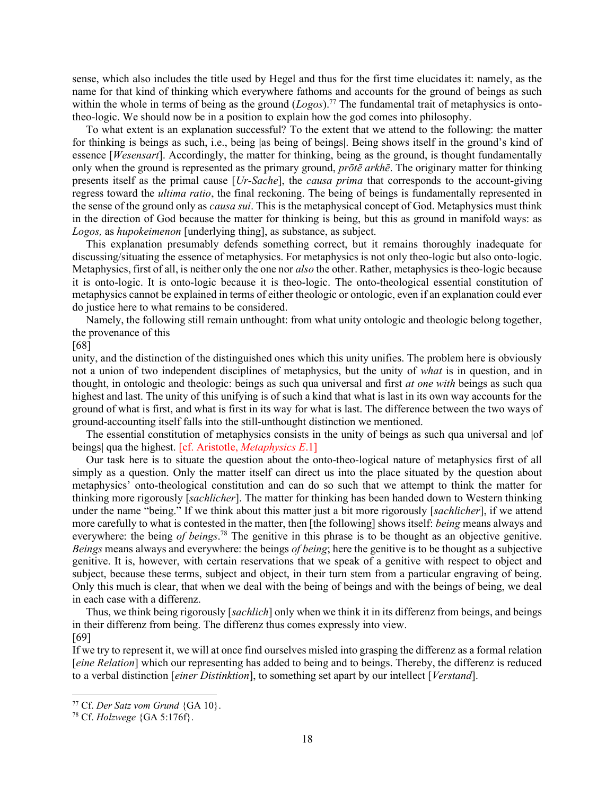sense, which also includes the title used by Hegel and thus for the first time elucidates it: namely, as the name for that kind of thinking which everywhere fathoms and accounts for the ground of beings as such within the whole in terms of being as the ground  $(Logos)^{77}$ . The fundamental trait of metaphysics is ontotheo-logic. We should now be in a position to explain how the god comes into philosophy.

 To what extent is an explanation successful? To the extent that we attend to the following: the matter for thinking is beings as such, i.e., being las being of beings. Being shows itself in the ground's kind of essence [*Wesensart*]. Accordingly, the matter for thinking, being as the ground, is thought fundamentally only when the ground is represented as the primary ground,  $pr\bar{o}t\bar{e}$  arkh $\bar{e}$ . The originary matter for thinking presents itself as the primal cause [Ur-Sache], the causa prima that corresponds to the account-giving regress toward the ultima ratio, the final reckoning. The being of beings is fundamentally represented in the sense of the ground only as *causa sui*. This is the metaphysical concept of God. Metaphysics must think in the direction of God because the matter for thinking is being, but this as ground in manifold ways: as Logos, as hupokeimenon [underlying thing], as substance, as subject.

 This explanation presumably defends something correct, but it remains thoroughly inadequate for discussing/situating the essence of metaphysics. For metaphysics is not only theo-logic but also onto-logic. Metaphysics, first of all, is neither only the one nor *also* the other. Rather, metaphysics is theo-logic because it is onto-logic. It is onto-logic because it is theo-logic. The onto-theological essential constitution of metaphysics cannot be explained in terms of either theologic or ontologic, even if an explanation could ever do justice here to what remains to be considered.

 Namely, the following still remain unthought: from what unity ontologic and theologic belong together, the provenance of this

[68]

unity, and the distinction of the distinguished ones which this unity unifies. The problem here is obviously not a union of two independent disciplines of metaphysics, but the unity of *what* is in question, and in thought, in ontologic and theologic: beings as such qua universal and first *at one with* beings as such qua highest and last. The unity of this unifying is of such a kind that what is last in its own way accounts for the ground of what is first, and what is first in its way for what is last. The difference between the two ways of ground-accounting itself falls into the still-unthought distinction we mentioned.

 The essential constitution of metaphysics consists in the unity of beings as such qua universal and |of beings| qua the highest. [cf. Aristotle, *Metaphysics E.1*]

 Our task here is to situate the question about the onto-theo-logical nature of metaphysics first of all simply as a question. Only the matter itself can direct us into the place situated by the question about metaphysics' onto-theological constitution and can do so such that we attempt to think the matter for thinking more rigorously [sachlicher]. The matter for thinking has been handed down to Western thinking under the name "being." If we think about this matter just a bit more rigorously [sachlicher], if we attend more carefully to what is contested in the matter, then [the following] shows itself: being means always and everywhere: the being of beings.<sup>78</sup> The genitive in this phrase is to be thought as an objective genitive. Beings means always and everywhere: the beings of being; here the genitive is to be thought as a subjective genitive. It is, however, with certain reservations that we speak of a genitive with respect to object and subject, because these terms, subject and object, in their turn stem from a particular engraving of being. Only this much is clear, that when we deal with the being of beings and with the beings of being, we deal in each case with a differenz.

Thus, we think being rigorously [sachlich] only when we think it in its differenz from beings, and beings in their differenz from being. The differenz thus comes expressly into view. [69]

If we try to represent it, we will at once find ourselves misled into grasping the differenz as a formal relation [eine Relation] which our representing has added to being and to beings. Thereby, the differenz is reduced to a verbal distinction [*einer Distinktion*], to something set apart by our intellect [*Verstand*].

 $77$  Cf. Der Satz vom Grund {GA 10}.

<sup>78</sup> Cf. Holzwege {GA 5:176f}.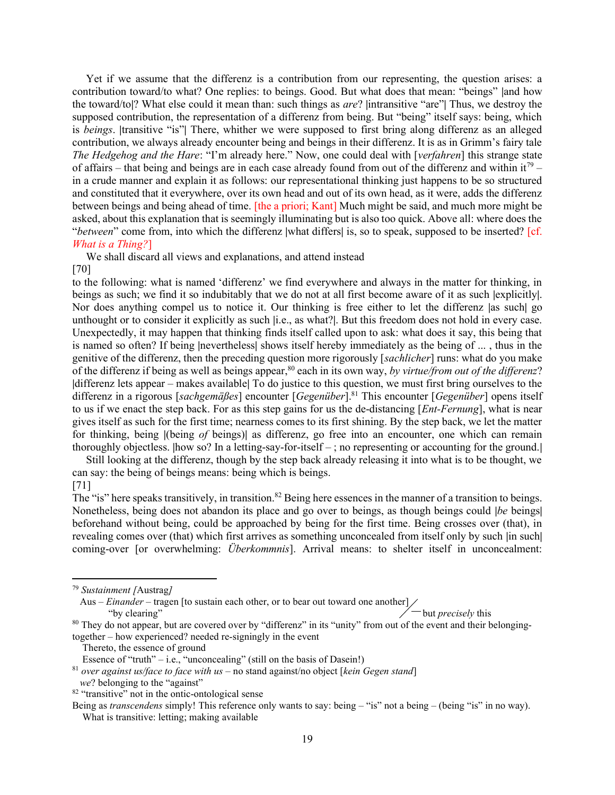Yet if we assume that the differenz is a contribution from our representing, the question arises: a contribution toward/to what? One replies: to beings. Good. But what does that mean: "beings" |and how the toward/to|? What else could it mean than: such things as *are*? |intransitive "are"| Thus, we destroy the supposed contribution, the representation of a differenz from being. But "being" itself says: being, which is beings. |transitive "is"| There, whither we were supposed to first bring along differenz as an alleged contribution, we always already encounter being and beings in their differenz. It is as in Grimm's fairy tale The Hedgehog and the Hare: "I'm already here." Now, one could deal with [verfahren] this strange state of affairs – that being and beings are in each case already found from out of the differenz and within it<sup>79</sup> – in a crude manner and explain it as follows: our representational thinking just happens to be so structured and constituted that it everywhere, over its own head and out of its own head, as it were, adds the differenz between beings and being ahead of time. [the a priori; Kant] Much might be said, and much more might be asked, about this explanation that is seemingly illuminating but is also too quick. Above all: where does the "between" come from, into which the differenz |what differs| is, so to speak, supposed to be inserted?  $[cf.]$ What is a Thing?]

We shall discard all views and explanations, and attend instead

[70]

to the following: what is named 'differenz' we find everywhere and always in the matter for thinking, in beings as such; we find it so indubitably that we do not at all first become aware of it as such |explicitly|. Nor does anything compel us to notice it. Our thinking is free either to let the differenz as such go unthought or to consider it explicitly as such |i.e., as what?|. But this freedom does not hold in every case. Unexpectedly, it may happen that thinking finds itself called upon to ask: what does it say, this being that is named so often? If being |nevertheless| shows itself hereby immediately as the being of ... , thus in the genitive of the differenz, then the preceding question more rigorously [sachlicher] runs: what do you make of the differenz if being as well as beings appear,<sup>80</sup> each in its own way, by virtue/from out of the differenz? |differenz lets appear – makes available| To do justice to this question, we must first bring ourselves to the differenz in a rigorous [sachgemäßes] encounter [Gegenüber].<sup>81</sup> This encounter [Gegenüber] opens itself to us if we enact the step back. For as this step gains for us the de-distancing [*Ent-Fernung*], what is near gives itself as such for the first time; nearness comes to its first shining. By the step back, we let the matter for thinking, being ((being of beings)) as differenz, go free into an encounter, one which can remain thoroughly objectless. |how so? In a letting-say-for-itself – ; no representing or accounting for the ground.|

 Still looking at the differenz, though by the step back already releasing it into what is to be thought, we can say: the being of beings means: being which is beings. [71]

The "is" here speaks transitively, in transition.<sup>82</sup> Being here essences in the manner of a transition to beings. Nonetheless, being does not abandon its place and go over to beings, as though beings could |be beings| beforehand without being, could be approached by being for the first time. Being crosses over (that), in revealing comes over (that) which first arrives as something unconcealed from itself only by such |in such| coming-over [or overwhelming: Überkommnis]. Arrival means: to shelter itself in unconcealment:

Aus – Einander – tragen [to sustain each other, or to bear out toward one another] "by clearing" but precisely this  $\angle$  but precisely this

<sup>80</sup> They do not appear, but are covered over by "differenz" in its "unity" from out of the event and their belongingtogether – how experienced? needed re-signingly in the event

<sup>79</sup> Sustainment [Austrag]

Thereto, the essence of ground

Essence of "truth" – i.e., "unconcealing" (still on the basis of Dasein!)

 $81$  over against us/face to face with us – no stand against/no object [kein Gegen stand]

we? belonging to the "against"

<sup>82</sup> "transitive" not in the ontic-ontological sense

Being as *transcendens* simply! This reference only wants to say: being – "is" not a being – (being "is" in no way). What is transitive: letting; making available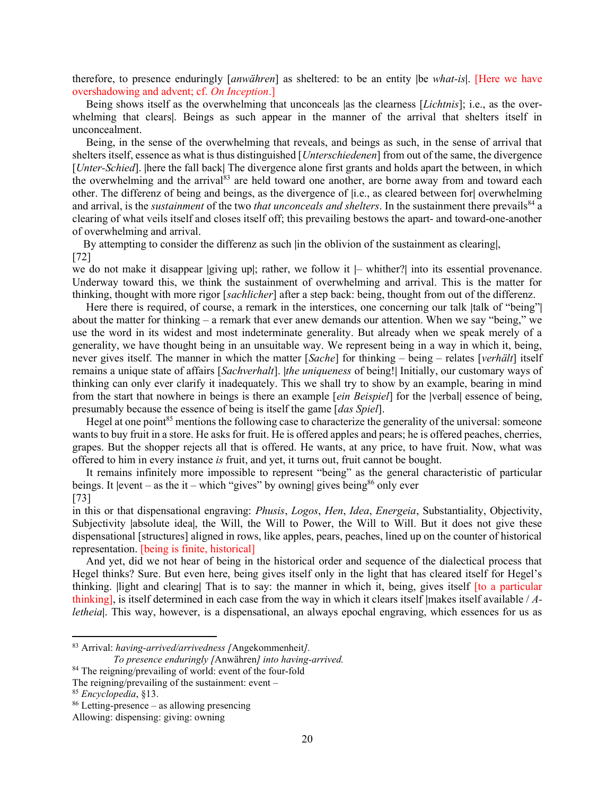therefore, to presence enduringly [anwähren] as sheltered: to be an entity |be what-is|. [Here we have overshadowing and advent; cf. On Inception.]

Being shows itself as the overwhelming that unconceals as the clearness [*Lichtnis*]; i.e., as the overwhelming that clears|. Beings as such appear in the manner of the arrival that shelters itself in unconcealment.

 Being, in the sense of the overwhelming that reveals, and beings as such, in the sense of arrival that shelters itself, essence as what is thus distinguished [*Unterschiedenen*] from out of the same, the divergence [*Unter-Schied*]. [here the fall back] The divergence alone first grants and holds apart the between, in which the overwhelming and the arrival<sup>83</sup> are held toward one another, are borne away from and toward each other. The differenz of being and beings, as the divergence of |i.e., as cleared between for| overwhelming and arrival, is the *sustainment* of the two *that unconceals and shelters*. In the sustainment there prevails<sup>84</sup> a clearing of what veils itself and closes itself off; this prevailing bestows the apart- and toward-one-another of overwhelming and arrival.

By attempting to consider the differenz as such |in the oblivion of the sustainment as clearing|, [72]

we do not make it disappear |giving up|; rather, we follow it  $|-$  whither?| into its essential provenance. Underway toward this, we think the sustainment of overwhelming and arrival. This is the matter for thinking, thought with more rigor [*sachlicher*] after a step back: being, thought from out of the differenz.

Here there is required, of course, a remark in the interstices, one concerning our talk  $|$ talk of "being" about the matter for thinking – a remark that ever anew demands our attention. When we say "being," we use the word in its widest and most indeterminate generality. But already when we speak merely of a generality, we have thought being in an unsuitable way. We represent being in a way in which it, being, never gives itself. The manner in which the matter  $[Sache]$  for thinking – being – relates  $[verhält]$  itself remains a unique state of affairs [Sachverhalt]. |the uniqueness of being!| Initially, our customary ways of thinking can only ever clarify it inadequately. This we shall try to show by an example, bearing in mind from the start that nowhere in beings is there an example [*ein Beispiel*] for the |verbal| essence of being, presumably because the essence of being is itself the game [das Spiel].

Hegel at one point<sup>85</sup> mentions the following case to characterize the generality of the universal: someone wants to buy fruit in a store. He asks for fruit. He is offered apples and pears; he is offered peaches, cherries, grapes. But the shopper rejects all that is offered. He wants, at any price, to have fruit. Now, what was offered to him in every instance is fruit, and yet, it turns out, fruit cannot be bought.

 It remains infinitely more impossible to represent "being" as the general characteristic of particular beings. It  $|$ event – as the it – which "gives" by owning gives being<sup>86</sup> only ever [73]

in this or that dispensational engraving: Phusis, Logos, Hen, Idea, Energeia, Substantiality, Objectivity, Subjectivity |absolute idea|, the Will, the Will to Power, the Will to Will. But it does not give these dispensational [structures] aligned in rows, like apples, pears, peaches, lined up on the counter of historical representation. [being is finite, historical]

 And yet, did we not hear of being in the historical order and sequence of the dialectical process that Hegel thinks? Sure. But even here, being gives itself only in the light that has cleared itself for Hegel's thinking. |light and clearing| That is to say: the manner in which it, being, gives itself [to a particular thinking], is itself determined in each case from the way in which it clears itself  $|$ makes itself available /  $\Lambda$ letheia|. This way, however, is a dispensational, an always epochal engraving, which essences for us as

<sup>83</sup> Arrival: having-arrived/arrivedness [Angekommenheit].

To presence enduringly [Anwähren] into having-arrived.

<sup>&</sup>lt;sup>84</sup> The reigning/prevailing of world: event of the four-fold

The reigning/prevailing of the sustainment: event –

<sup>85</sup> Encyclopedia, §13.

 $86$  Letting-presence – as allowing presencing

Allowing: dispensing: giving: owning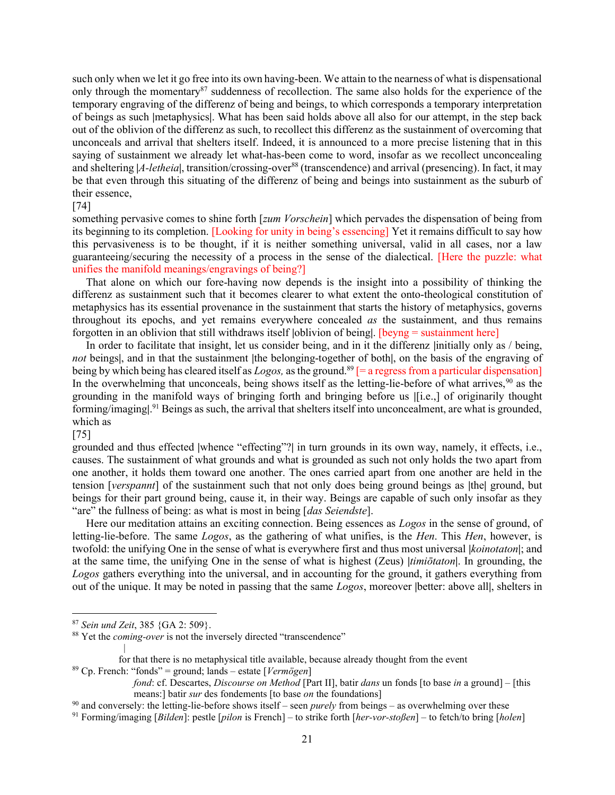such only when we let it go free into its own having-been. We attain to the nearness of what is dispensational only through the momentary<sup>87</sup> suddenness of recollection. The same also holds for the experience of the temporary engraving of the differenz of being and beings, to which corresponds a temporary interpretation of beings as such |metaphysics|. What has been said holds above all also for our attempt, in the step back out of the oblivion of the differenz as such, to recollect this differenz as the sustainment of overcoming that unconceals and arrival that shelters itself. Indeed, it is announced to a more precise listening that in this saying of sustainment we already let what-has-been come to word, insofar as we recollect unconcealing and sheltering  $|A$ -letheial, transition/crossing-over<sup>88</sup> (transcendence) and arrival (presencing). In fact, it may be that even through this situating of the differenz of being and beings into sustainment as the suburb of their essence,

#### [74]

something pervasive comes to shine forth [zum Vorschein] which pervades the dispensation of being from its beginning to its completion. [Looking for unity in being's essencing] Yet it remains difficult to say how this pervasiveness is to be thought, if it is neither something universal, valid in all cases, nor a law guaranteeing/securing the necessity of a process in the sense of the dialectical. [Here the puzzle: what unifies the manifold meanings/engravings of being?]

 That alone on which our fore-having now depends is the insight into a possibility of thinking the differenz as sustainment such that it becomes clearer to what extent the onto-theological constitution of metaphysics has its essential provenance in the sustainment that starts the history of metaphysics, governs throughout its epochs, and yet remains everywhere concealed as the sustainment, and thus remains forgotten in an oblivion that still withdraws itself |oblivion of being|. [beyng = sustainment here]

In order to facilitate that insight, let us consider being, and in it the differenz |initially only as / being, not beings, and in that the sustainment |the belonging-together of both|, on the basis of the engraving of being by which being has cleared itself as  $Logos$ , as the ground.<sup>89</sup> [= a regress from a particular dispensation] In the overwhelming that unconceals, being shows itself as the letting-lie-before of what arrives,<sup>90</sup> as the grounding in the manifold ways of bringing forth and bringing before us |[i.e.,] of originarily thought forming/imaging<sup>ol 91</sup> Beings as such, the arrival that shelters itself into unconcealment, are what is grounded, which as

[75]

grounded and thus effected |whence "effecting"?| in turn grounds in its own way, namely, it effects, i.e., causes. The sustainment of what grounds and what is grounded as such not only holds the two apart from one another, it holds them toward one another. The ones carried apart from one another are held in the tension [verspannt] of the sustainment such that not only does being ground beings as |the| ground, but beings for their part ground being, cause it, in their way. Beings are capable of such only insofar as they "are" the fullness of being: as what is most in being [*das Seiendste*].

 Here our meditation attains an exciting connection. Being essences as Logos in the sense of ground, of letting-lie-before. The same Logos, as the gathering of what unifies, is the Hen. This Hen, however, is twofold: the unifying One in the sense of what is everywhere first and thus most universal *[koinotaton]*; and at the same time, the unifying One in the sense of what is highest (Zeus) *|timiotaton*|. In grounding, the Logos gathers everything into the universal, and in accounting for the ground, it gathers everything from out of the unique. It may be noted in passing that the same Logos, moreover |better: above all|, shelters in

|

for that there is no metaphysical title available, because already thought from the event

<sup>89</sup> Cp. French: "fonds" = ground; lands – estate [*Vermögen*]

<sup>91</sup> Forming/imaging [Bilden]: pestle [pilon is French] – to strike forth [her-vor-stoßen] – to fetch/to bring [holen]

<sup>87</sup> Sein und Zeit, 385 {GA 2: 509}.

 $88$  Yet the *coming-over* is not the inversely directed "transcendence"

fond: cf. Descartes, *Discourse on Method* [Part II], batir dans un fonds [to base in a ground] – [this means:] batir sur des fondements [to base on the foundations]

 $90$  and conversely: the letting-lie-before shows itself – seen *purely* from beings – as overwhelming over these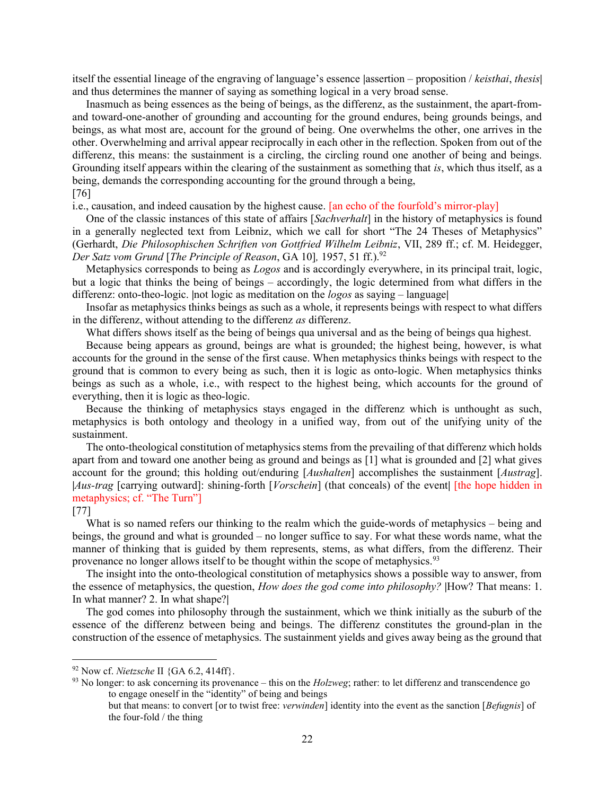itself the essential lineage of the engraving of language's essence  $|$  assertion – proposition / keisthai, thesis and thus determines the manner of saying as something logical in a very broad sense.

 Inasmuch as being essences as the being of beings, as the differenz, as the sustainment, the apart-fromand toward-one-another of grounding and accounting for the ground endures, being grounds beings, and beings, as what most are, account for the ground of being. One overwhelms the other, one arrives in the other. Overwhelming and arrival appear reciprocally in each other in the reflection. Spoken from out of the differenz, this means: the sustainment is a circling, the circling round one another of being and beings. Grounding itself appears within the clearing of the sustainment as something that is, which thus itself, as a being, demands the corresponding accounting for the ground through a being,

# [76]

i.e., causation, and indeed causation by the highest cause. [an echo of the fourfold's mirror-play]

One of the classic instances of this state of affairs [Sachverhalt] in the history of metaphysics is found in a generally neglected text from Leibniz, which we call for short "The 24 Theses of Metaphysics" (Gerhardt, Die Philosophischen Schriften von Gottfried Wilhelm Leibniz, VII, 289 ff.; cf. M. Heidegger, Der Satz vom Grund [The Principle of Reason, GA 101, 1957, 51 ff.). $92$ 

 Metaphysics corresponds to being as Logos and is accordingly everywhere, in its principal trait, logic, but a logic that thinks the being of beings – accordingly, the logic determined from what differs in the differenz: onto-theo-logic. |not logic as meditation on the *logos* as saying – language|

 Insofar as metaphysics thinks beings as such as a whole, it represents beings with respect to what differs in the differenz, without attending to the differenz as differenz.

What differs shows itself as the being of beings qua universal and as the being of beings qua highest.

 Because being appears as ground, beings are what is grounded; the highest being, however, is what accounts for the ground in the sense of the first cause. When metaphysics thinks beings with respect to the ground that is common to every being as such, then it is logic as onto-logic. When metaphysics thinks beings as such as a whole, i.e., with respect to the highest being, which accounts for the ground of everything, then it is logic as theo-logic.

 Because the thinking of metaphysics stays engaged in the differenz which is unthought as such, metaphysics is both ontology and theology in a unified way, from out of the unifying unity of the sustainment.

 The onto-theological constitution of metaphysics stems from the prevailing of that differenz which holds apart from and toward one another being as ground and beings as [1] what is grounded and [2] what gives account for the ground; this holding out/enduring [*Aushalten*] accomplishes the sustainment [*Austrag*]. |Aus-trag [carrying outward]: shining-forth [Vorschein] (that conceals) of the event| [the hope hidden in metaphysics; cf. "The Turn"]

#### [77]

What is so named refers our thinking to the realm which the guide-words of metaphysics – being and beings, the ground and what is grounded – no longer suffice to say. For what these words name, what the manner of thinking that is guided by them represents, stems, as what differs, from the differenz. Their provenance no longer allows itself to be thought within the scope of metaphysics.<sup>93</sup>

 The insight into the onto-theological constitution of metaphysics shows a possible way to answer, from the essence of metaphysics, the question, *How does the god come into philosophy*? [How? That means: 1. In what manner? 2. In what shape?|

 The god comes into philosophy through the sustainment, which we think initially as the suburb of the essence of the differenz between being and beings. The differenz constitutes the ground-plan in the construction of the essence of metaphysics. The sustainment yields and gives away being as the ground that

<sup>93</sup> No longer: to ask concerning its provenance – this on the  $Holzweg$ ; rather: to let differenz and transcendence go to engage oneself in the "identity" of being and beings

 $92$  Now cf. *Nietzsche* II  $\{GA\ 6.2, 414\}$ .

but that means: to convert [or to twist free: verwinden] identity into the event as the sanction [Befugnis] of the four-fold / the thing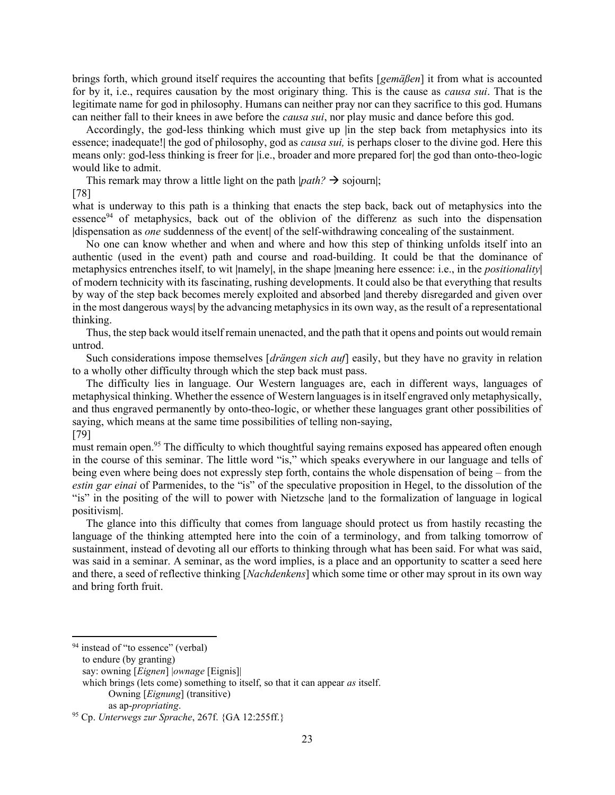brings forth, which ground itself requires the accounting that befits [gemäßen] it from what is accounted for by it, i.e., requires causation by the most originary thing. This is the cause as *causa sui*. That is the legitimate name for god in philosophy. Humans can neither pray nor can they sacrifice to this god. Humans can neither fall to their knees in awe before the *causa sui*, nor play music and dance before this god.

 Accordingly, the god-less thinking which must give up |in the step back from metaphysics into its essence; inadequate! the god of philosophy, god as *causa sui*, is perhaps closer to the divine god. Here this means only: god-less thinking is freer for |i.e., broader and more prepared for| the god than onto-theo-logic would like to admit.

This remark may throw a little light on the path  $|path? \rightarrow$  sojourn|;

[78]

what is underway to this path is a thinking that enacts the step back, back out of metaphysics into the essence<sup>94</sup> of metaphysics, back out of the oblivion of the differenz as such into the dispensation |dispensation as one suddenness of the event| of the self-withdrawing concealing of the sustainment.

 No one can know whether and when and where and how this step of thinking unfolds itself into an authentic (used in the event) path and course and road-building. It could be that the dominance of metaphysics entrenches itself, to wit |namely|, in the shape |meaning here essence: i.e., in the *positionality*| of modern technicity with its fascinating, rushing developments. It could also be that everything that results by way of the step back becomes merely exploited and absorbed |and thereby disregarded and given over in the most dangerous ways| by the advancing metaphysics in its own way, as the result of a representational thinking.

 Thus, the step back would itself remain unenacted, and the path that it opens and points out would remain untrod.

Such considerations impose themselves  $\left[dr\right]$  *drängen sich auf* easily, but they have no gravity in relation to a wholly other difficulty through which the step back must pass.

 The difficulty lies in language. Our Western languages are, each in different ways, languages of metaphysical thinking. Whether the essence of Western languages is in itself engraved only metaphysically, and thus engraved permanently by onto-theo-logic, or whether these languages grant other possibilities of saying, which means at the same time possibilities of telling non-saying, [79]

must remain open.<sup>95</sup> The difficulty to which thoughtful saying remains exposed has appeared often enough in the course of this seminar. The little word "is," which speaks everywhere in our language and tells of being even where being does not expressly step forth, contains the whole dispensation of being – from the estin gar einai of Parmenides, to the "is" of the speculative proposition in Hegel, to the dissolution of the "is" in the positing of the will to power with Nietzsche |and to the formalization of language in logical positivism|.

 The glance into this difficulty that comes from language should protect us from hastily recasting the language of the thinking attempted here into the coin of a terminology, and from talking tomorrow of sustainment, instead of devoting all our efforts to thinking through what has been said. For what was said, was said in a seminar. A seminar, as the word implies, is a place and an opportunity to scatter a seed here and there, a seed of reflective thinking [Nachdenkens] which some time or other may sprout in its own way and bring forth fruit.

<sup>&</sup>lt;sup>94</sup> instead of "to essence" (verbal)

to endure (by granting)

say: owning [Eignen] |ownage [Eignis]|

which brings (lets come) something to itself, so that it can appear *as* itself. Owning [Eignung] (transitive)

as ap-propriating.

 $95$  Cp. Unterwegs zur Sprache, 267f. {GA 12:255ff.}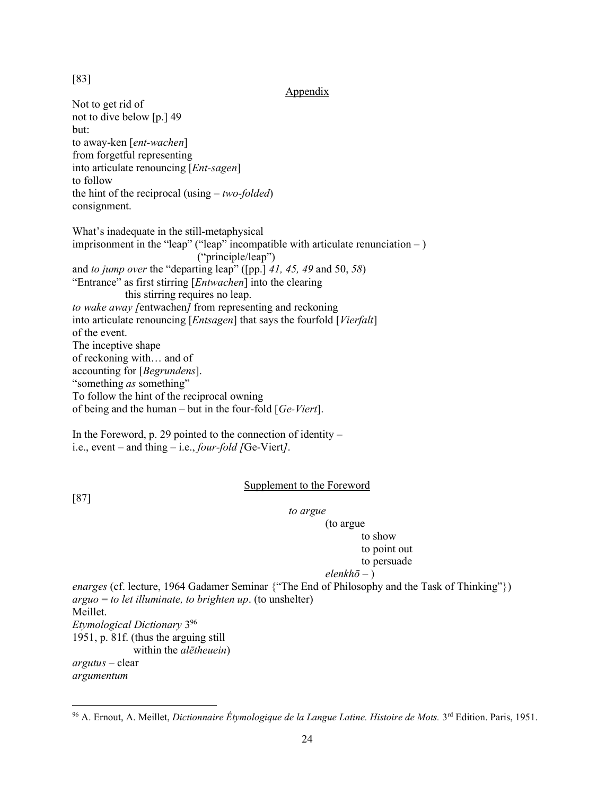## [83]

Appendix

Not to get rid of not to dive below [p.] 49 but: to away-ken [ent-wachen] from forgetful representing into articulate renouncing [Ent-sagen] to follow the hint of the reciprocal (using  $-$  two-folded) consignment. What's inadequate in the still-metaphysical imprisonment in the "leap" ("leap" incompatible with articulate renunciation  $-$  ) ("principle/leap") and to jump over the "departing leap" ([pp.] 41, 45, 49 and 50, 58) "Entrance" as first stirring [Entwachen] into the clearing this stirring requires no leap. to wake away [entwachen] from representing and reckoning into articulate renouncing [Entsagen] that says the fourfold [Vierfalt] of the event. The inceptive shape of reckoning with… and of accounting for [Begrundens]. "something *as* something" To follow the hint of the reciprocal owning of being and the human – but in the four-fold  $[Ge-Viert]$ .

In the Foreword, p. 29 pointed to the connection of identity  $$ i.e., event – and thing – i.e., four-fold  $/Ge-Viert$ .

### Supplement to the Foreword

[87]

to argue

#### (to argue to show

# to point out

# to persuade

### $elenkh\bar{o}$  – )

enarges (cf. lecture, 1964 Gadamer Seminar {"The End of Philosophy and the Task of Thinking"})  $arguo = to let illustrate, to brighter up.$  (to unshelter) Meillet. Etymological Dictionary 3<sup>96</sup> 1951, p. 81f. (thus the arguing still within the *alētheuein*) argutus – clear argumentum

<sup>96</sup> A. Ernout, A. Meillet, Dictionnaire Étymologique de la Langue Latine. Histoire de Mots. 3rd Edition. Paris, 1951.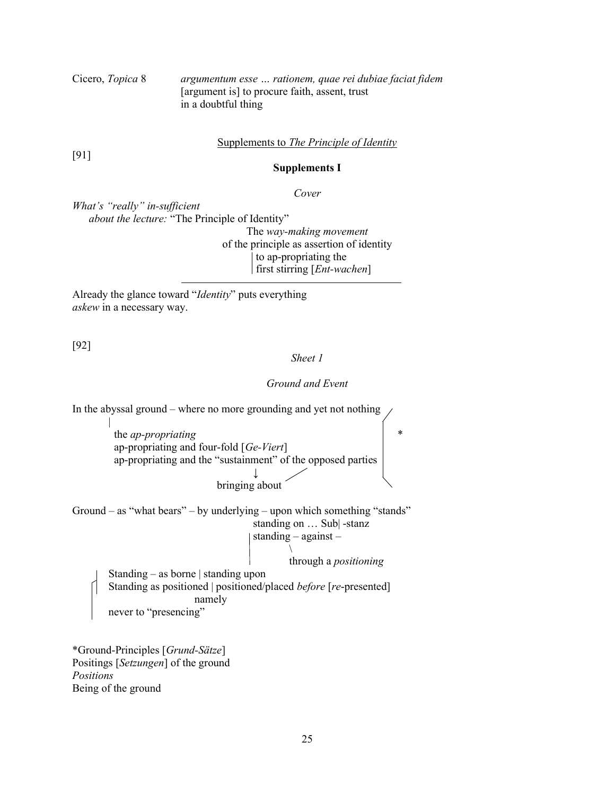Cicero, Topica 8 argumentum esse … rationem, quae rei dubiae faciat fidem [argument is] to procure faith, assent, trust in a doubtful thing

Supplements to The Principle of Identity

[91]

Supplements I

Cover

What's "really" in-sufficient about the lecture: "The Principle of Identity"

The way-making movement of the principle as assertion of identity to ap-propriating the  $\text{first stirring}$  [*Ent-wachen*]

Already the glance toward "Identity" puts everything askew in a necessary way.

[92]

Sheet 1

Ground and Event

In the abyssal ground – where no more grounding and yet not nothing || || || || || || the *ap-propriating*  ap-propriating and four-fold [Ge-Viert] ap-propriating and the "sustainment" of the opposed parties ↓ bringing about Ground – as "what bears" – by underlying – upon which something "stands" standing on … Sub| -stanz standing – against –  $\mathcal{N}$  and  $\mathcal{N}$  are the set of  $\mathcal{N}$  through a positioning Standing – as borne | standing upon Standing as positioned | positioned/placed before [re-presented] namely never to "presencing"

\*Ground-Principles [Grund-Sätze] Positings [Setzungen] of the ground Positions Being of the ground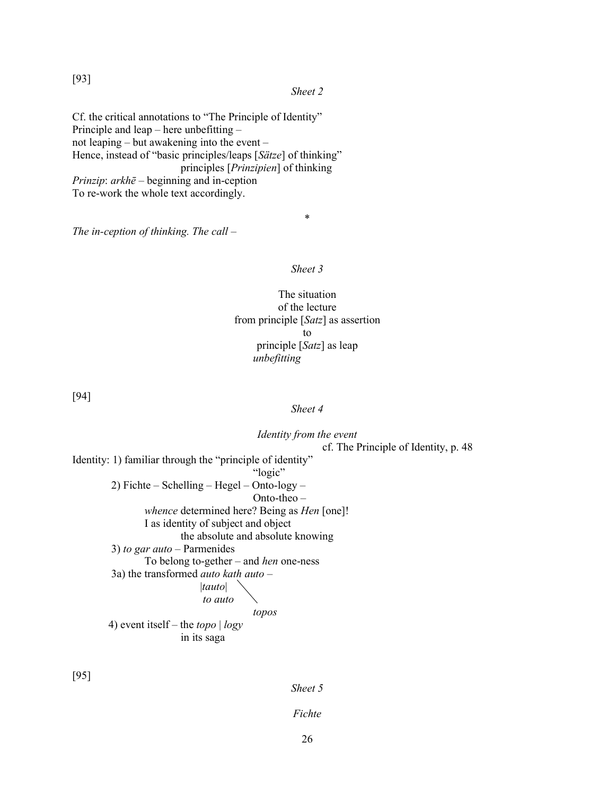[93]

### Sheet 2

Cf. the critical annotations to "The Principle of Identity" Principle and leap – here unbefitting – not leaping – but awakening into the event – Hence, instead of "basic principles/leaps [Sätze] of thinking" principles [Prinzipien] of thinking Prinzip:  $arkh\bar{e}$  – beginning and in-ception To re-work the whole text accordingly.

The in-ception of thinking. The call  $-$ 

### Sheet 3

\*

The situation of the lecture from principle [Satz] as assertion to principle [Satz] as leap unbefitting

[94]

# Sheet 4

| Identity from the event                                   |
|-----------------------------------------------------------|
| cf. The Principle of Identity, p. 48                      |
| Identity: 1) familiar through the "principle of identity" |
| "logic"                                                   |
| 2) Fichte – Schelling – Hegel – Onto- $\log y$ –          |
| $Onto-theo-$                                              |
| <i>whence</i> determined here? Being as <i>Hen</i> [one]! |
| I as identity of subject and object                       |
| the absolute and absolute knowing                         |
| 3) to gar auto – Parmenides                               |
| To belong to-gether – and <i>hen</i> one-ness             |
| 3a) the transformed <i>auto kath auto</i> –               |
| tauto                                                     |
| to auto                                                   |
| topos                                                     |
| 4) event itself – the <i>topo</i> $\log y$                |
| in its saga                                               |
|                                                           |

[95]

Sheet 5

Fichte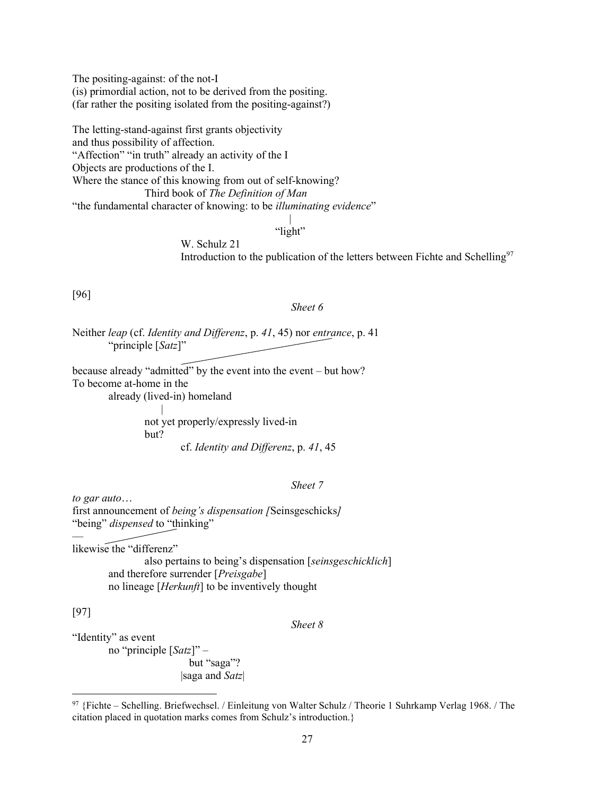The positing-against: of the not-I (is) primordial action, not to be derived from the positing. (far rather the positing isolated from the positing-against?)

The letting-stand-against first grants objectivity and thus possibility of affection. "Affection" "in truth" already an activity of the I Objects are productions of the I. Where the stance of this knowing from out of self-knowing? Third book of The Definition of Man "the fundamental character of knowing: to be *illuminating evidence*"

 | "light"

> W. Schulz 21 Introduction to the publication of the letters between Fichte and Schelling<sup>97</sup>

[96]

#### Sheet 6

Neither leap (cf. Identity and Differenz, p. 41, 45) nor entrance, p. 41 "principle [Satz]"

because already "admitted" by the event into the event – but how? To become at-home in the already (lived-in) homeland

 | not yet properly/expressly lived-in but? cf. Identity and Differenz, p. 41, 45

# Sheet 7

to gar auto… first announcement of being's dispensation [Seinsgeschicks] "being" dispensed to "thinking"

likewise the "differenz"

 also pertains to being's dispensation [seinsgeschicklich] and therefore surrender [Preisgabe] no lineage [Herkunft] to be inventively thought

[97]

—

## Sheet 8

"Identity" as event no "principle  $[Satz]$ " – but "saga"? |saga and Satz|

<sup>97</sup> {Fichte – Schelling. Briefwechsel. / Einleitung von Walter Schulz / Theorie 1 Suhrkamp Verlag 1968. / The citation placed in quotation marks comes from Schulz's introduction.}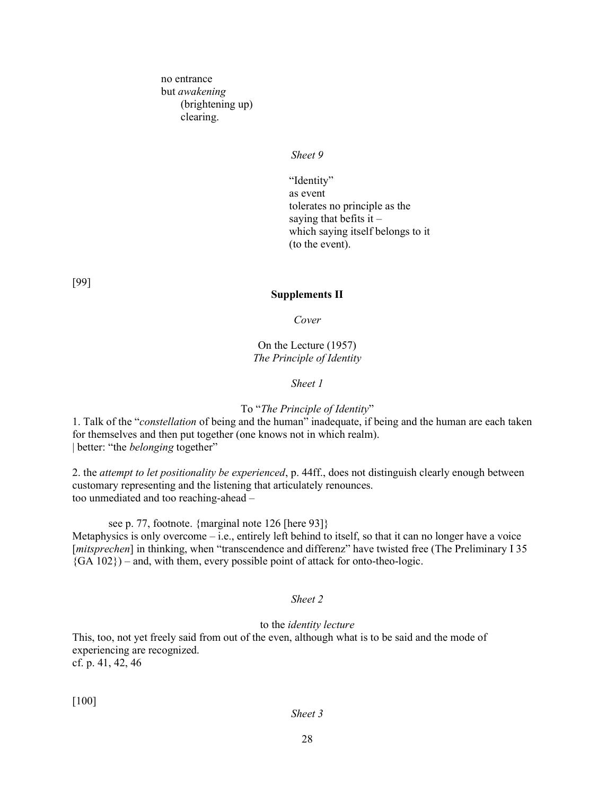no entrance but awakening (brightening up) clearing.

### Sheet 9

"Identity" as event tolerates no principle as the saying that befits it  $$  which saying itself belongs to it (to the event).

[99]

### Supplements II

Cover

On the Lecture (1957) The Principle of Identity

Sheet 1

# To "The Principle of Identity"

1. Talk of the "constellation of being and the human" inadequate, if being and the human are each taken for themselves and then put together (one knows not in which realm). | better: "the *belonging* together"

2. the *attempt to let positionality be experienced*, p. 44ff., does not distinguish clearly enough between customary representing and the listening that articulately renounces. too unmediated and too reaching-ahead –

see p. 77, footnote. {marginal note 126 [here 93]}

Metaphysics is only overcome – i.e., entirely left behind to itself, so that it can no longer have a voice [*mitsprechen*] in thinking, when "transcendence and differenz" have twisted free (The Preliminary I 35  ${G A 102}$ ) – and, with them, every possible point of attack for onto-theo-logic.

#### Sheet 2

### to the identity lecture

This, too, not yet freely said from out of the even, although what is to be said and the mode of experiencing are recognized. cf. p. 41, 42, 46

[100]

# Sheet 3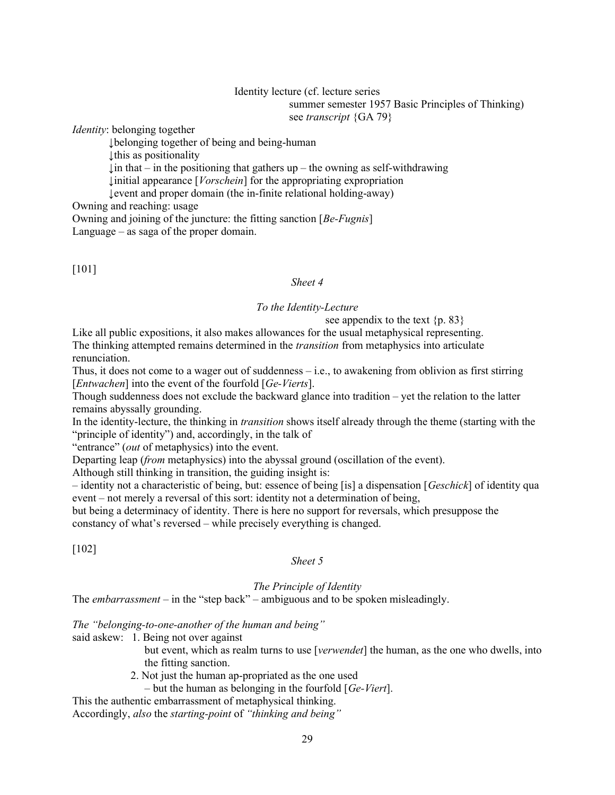## Identity lecture (cf. lecture series summer semester 1957 Basic Principles of Thinking) see transcript {GA 79}

*Identity:* belonging together

↓belonging together of being and being-human

↓this as positionality

 $\ln \theta$  that – in the positioning that gathers up – the owning as self-withdrawing

↓initial appearance [Vorschein] for the appropriating expropriation

↓event and proper domain (the in-finite relational holding-away)

Owning and reaching: usage

Owning and joining of the juncture: the fitting sanction [Be-Fugnis]

Language – as saga of the proper domain.

[101]

# Sheet 4

# To the Identity-Lecture

see appendix to the text  $\{p. 83\}$ 

Like all public expositions, it also makes allowances for the usual metaphysical representing. The thinking attempted remains determined in the *transition* from metaphysics into articulate renunciation.

Thus, it does not come to a wager out of suddenness  $-i.e.,$  to awakening from oblivion as first stirring [*Entwachen*] into the event of the fourfold  $[Ge-Vierts]$ .

Though suddenness does not exclude the backward glance into tradition – yet the relation to the latter remains abyssally grounding.

In the identity-lecture, the thinking in transition shows itself already through the theme (starting with the "principle of identity") and, accordingly, in the talk of

"entrance" (out of metaphysics) into the event.

Departing leap (*from* metaphysics) into the abyssal ground (oscillation of the event).

Although still thinking in transition, the guiding insight is:

– identity not a characteristic of being, but: essence of being [is] a dispensation [Geschick] of identity qua event – not merely a reversal of this sort: identity not a determination of being,

but being a determinacy of identity. There is here no support for reversals, which presuppose the constancy of what's reversed – while precisely everything is changed.

[102]

Sheet 5

The Principle of Identity

The *embarrassment* – in the "step back" – ambiguous and to be spoken misleadingly.

The "belonging-to-one-another of the human and being"

said askew: 1. Being not over against

but event, which as realm turns to use [*verwendet*] the human, as the one who dwells, into the fitting sanction.

- 2. Not just the human ap-propriated as the one used
	- but the human as belonging in the fourfold  $[Ge-Viert]$ .

This the authentic embarrassment of metaphysical thinking. Accordingly, also the starting-point of "thinking and being"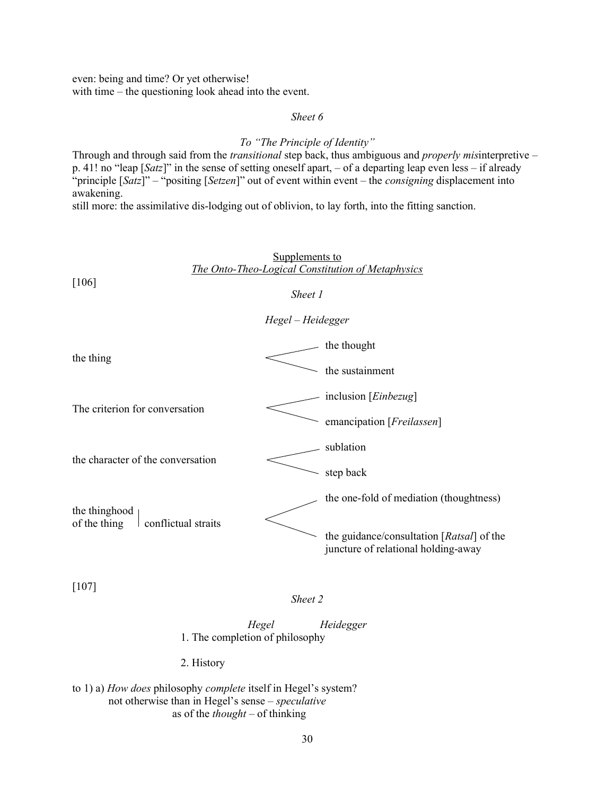even: being and time? Or yet otherwise! with time – the questioning look ahead into the event.

# Sheet 6

# To "The Principle of Identity"

Through and through said from the *transitional* step back, thus ambiguous and *properly misinterpretive –* p. 41! no "leap  $[Satz]$ " in the sense of setting oneself apart, – of a departing leap even less – if already "principle  $[Satz]$ " – "positing  $[Setzen]$ " out of event within event – the *consigning* displacement into awakening.

still more: the assimilative dis-lodging out of oblivion, to lay forth, into the fitting sanction.

| Supplements to<br>The Onto-Theo-Logical Constitution of Metaphysics<br>[106] |                                                                                  |  |
|------------------------------------------------------------------------------|----------------------------------------------------------------------------------|--|
|                                                                              | Sheet 1                                                                          |  |
| Hegel - Heidegger                                                            |                                                                                  |  |
| the thing                                                                    | the thought                                                                      |  |
|                                                                              | the sustainment                                                                  |  |
| The criterion for conversation                                               | inclusion [ <i>Einbezug</i> ]                                                    |  |
|                                                                              | emancipation [ <i>Freilassen</i> ]                                               |  |
| the character of the conversation                                            | sublation                                                                        |  |
|                                                                              | step back                                                                        |  |
| the thinghood<br>of the thing<br>conflictual straits                         | the one-fold of mediation (thoughtness)                                          |  |
|                                                                              | the guidance/consultation [Ratsal] of the<br>juncture of relational holding-away |  |

[107]

Sheet 2

Hegel Heidegger 1. The completion of philosophy

2. History

to 1) a) How does philosophy complete itself in Hegel's system? not otherwise than in Hegel's sense – speculative as of the *thought* – of thinking